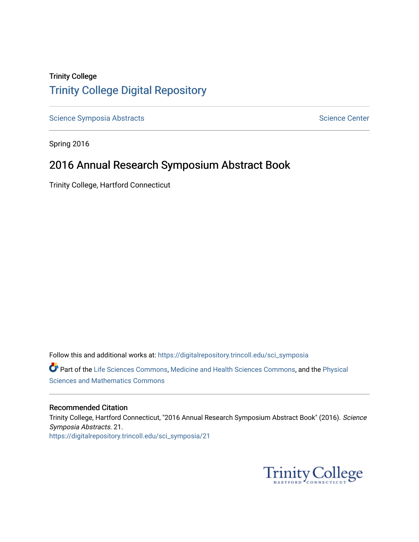# Trinity College [Trinity College Digital Repository](https://digitalrepository.trincoll.edu/)

[Science Symposia Abstracts](https://digitalrepository.trincoll.edu/sci_symposia) **Science Center** Science Center

Spring 2016

# 2016 Annual Research Symposium Abstract Book

Trinity College, Hartford Connecticut

Follow this and additional works at: [https://digitalrepository.trincoll.edu/sci\\_symposia](https://digitalrepository.trincoll.edu/sci_symposia?utm_source=digitalrepository.trincoll.edu%2Fsci_symposia%2F21&utm_medium=PDF&utm_campaign=PDFCoverPages)  Part of the [Life Sciences Commons,](http://network.bepress.com/hgg/discipline/1016?utm_source=digitalrepository.trincoll.edu%2Fsci_symposia%2F21&utm_medium=PDF&utm_campaign=PDFCoverPages) [Medicine and Health Sciences Commons,](http://network.bepress.com/hgg/discipline/648?utm_source=digitalrepository.trincoll.edu%2Fsci_symposia%2F21&utm_medium=PDF&utm_campaign=PDFCoverPages) and the Physical [Sciences and Mathematics Commons](http://network.bepress.com/hgg/discipline/114?utm_source=digitalrepository.trincoll.edu%2Fsci_symposia%2F21&utm_medium=PDF&utm_campaign=PDFCoverPages) 

#### Recommended Citation

Trinity College, Hartford Connecticut, "2016 Annual Research Symposium Abstract Book" (2016). Science Symposia Abstracts. 21. [https://digitalrepository.trincoll.edu/sci\\_symposia/21](https://digitalrepository.trincoll.edu/sci_symposia/21?utm_source=digitalrepository.trincoll.edu%2Fsci_symposia%2F21&utm_medium=PDF&utm_campaign=PDFCoverPages) 

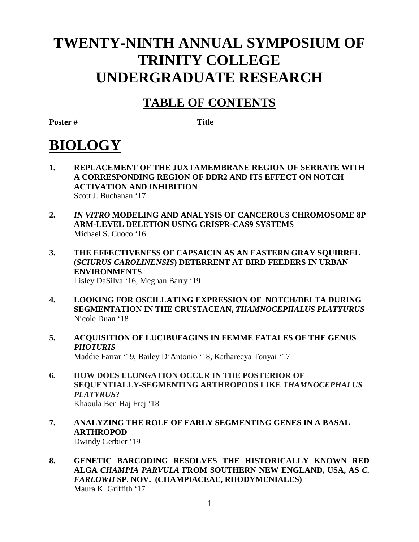# **TWENTY-NINTH ANNUAL SYMPOSIUM OF TRINITY COLLEGE UNDERGRADUATE RESEARCH**

# **TABLE OF CONTENTS**

**Poster # Title**

# **BIOLOGY**

- **1. REPLACEMENT OF THE JUXTAMEMBRANE REGION OF SERRATE WITH A CORRESPONDING REGION OF DDR2 AND ITS EFFECT ON NOTCH ACTIVATION AND INHIBITION** Scott J. Buchanan '17
- **2.** *IN VITRO* **MODELING AND ANALYSIS OF CANCEROUS CHROMOSOME 8P ARM-LEVEL DELETION USING CRISPR-CAS9 SYSTEMS** Michael S. Cuoco '16
- **3. THE EFFECTIVENESS OF CAPSAICIN AS AN EASTERN GRAY SQUIRREL (***SCIURUS CAROLINENSIS***) DETERRENT AT BIRD FEEDERS IN URBAN ENVIRONMENTS** Lisley DaSilva '16, Meghan Barry '19
- **4. LOOKING FOR OSCILLATING EXPRESSION OF NOTCH/DELTA DURING SEGMENTATION IN THE CRUSTACEAN,** *THAMNOCEPHALUS PLATYURUS* Nicole Duan '18
- **5. ACQUISITION OF LUCIBUFAGINS IN FEMME FATALES OF THE GENUS**  *PHOTURIS* Maddie Farrar '19, Bailey D'Antonio '18, Kathareeya Tonyai '17
- **6. HOW DOES ELONGATION OCCUR IN THE POSTERIOR OF SEQUENTIALLY-SEGMENTING ARTHROPODS LIKE** *THAMNOCEPHALUS PLATYRUS***?** Khaoula Ben Haj Frej '18
- **7. ANALYZING THE ROLE OF EARLY SEGMENTING GENES IN A BASAL ARTHROPOD**

Dwindy Gerbier '19

**8. GENETIC BARCODING RESOLVES THE HISTORICALLY KNOWN RED ALGA** *CHAMPIA PARVULA* **FROM SOUTHERN NEW ENGLAND, USA, AS** *C. FARLOWII* **SP. NOV. (CHAMPIACEAE, RHODYMENIALES)** Maura K. Griffith '17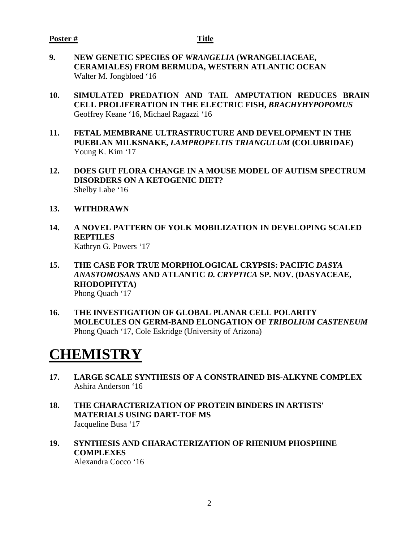- **9. NEW GENETIC SPECIES OF** *WRANGELIA* **(WRANGELIACEAE, CERAMIALES) FROM BERMUDA, WESTERN ATLANTIC OCEAN**  Walter M. Jongbloed '16
- **10. SIMULATED PREDATION AND TAIL AMPUTATION REDUCES BRAIN CELL PROLIFERATION IN THE ELECTRIC FISH,** *BRACHYHYPOPOMUS* Geoffrey Keane '16, Michael Ragazzi '16
- **11. FETAL MEMBRANE ULTRASTRUCTURE AND DEVELOPMENT IN THE PUEBLAN MILKSNAKE,** *LAMPROPELTIS TRIANGULUM* **(COLUBRIDAE)** Young K. Kim '17
- **12. DOES GUT FLORA CHANGE IN A MOUSE MODEL OF AUTISM SPECTRUM DISORDERS ON A KETOGENIC DIET?** Shelby Labe '16
- **13. WITHDRAWN**
- **14. A NOVEL PATTERN OF YOLK MOBILIZATION IN DEVELOPING SCALED REPTILES** Kathryn G. Powers '17
- **15. THE CASE FOR TRUE MORPHOLOGICAL CRYPSIS: PACIFIC** *DASYA ANASTOMOSANS* **AND ATLANTIC** *D. CRYPTICA* **SP. NOV. (DASYACEAE, RHODOPHYTA)** Phong Quach '17
- **16. THE INVESTIGATION OF GLOBAL PLANAR CELL POLARITY MOLECULES ON GERM-BAND ELONGATION OF** *TRIBOLIUM CASTENEUM* Phong Quach '17, Cole Eskridge (University of Arizona)

# **CHEMISTRY**

- **17. LARGE SCALE SYNTHESIS OF A CONSTRAINED BIS-ALKYNE COMPLEX** Ashira Anderson '16
- **18. THE CHARACTERIZATION OF PROTEIN BINDERS IN ARTISTS' MATERIALS USING DART-TOF MS** Jacqueline Busa '17
- **19. SYNTHESIS AND CHARACTERIZATION OF RHENIUM PHOSPHINE COMPLEXES** Alexandra Cocco '16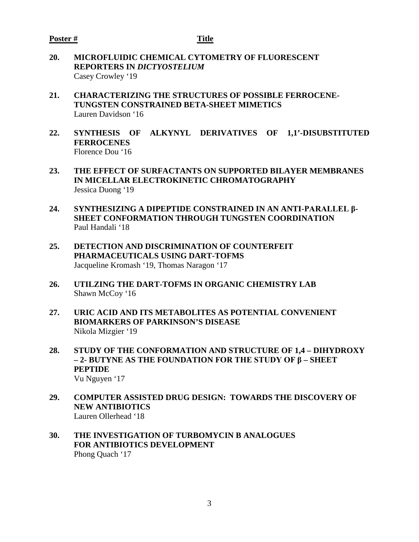- **20. MICROFLUIDIC CHEMICAL CYTOMETRY OF FLUORESCENT REPORTERS IN** *DICTYOSTELIUM* Casey Crowley '19
- **21. CHARACTERIZING THE STRUCTURES OF POSSIBLE FERROCENE-TUNGSTEN CONSTRAINED BETA-SHEET MIMETICS** Lauren Davidson '16
- **22. SYNTHESIS OF ALKYNYL DERIVATIVES OF 1,1'-DISUBSTITUTED FERROCENES** Florence Dou '16
- **23. THE EFFECT OF SURFACTANTS ON SUPPORTED BILAYER MEMBRANES IN MICELLAR ELECTROKINETIC CHROMATOGRAPHY** Jessica Duong '19
- **24. SYNTHESIZING A DIPEPTIDE CONSTRAINED IN AN ANTI-PARALLEL β-SHEET CONFORMATION THROUGH TUNGSTEN COORDINATION** Paul Handali '18
- **25. DETECTION AND DISCRIMINATION OF COUNTERFEIT PHARMACEUTICALS USING DART-TOFMS** Jacqueline Kromash '19, Thomas Naragon '17
- **26. UTILZING THE DART-TOFMS IN ORGANIC CHEMISTRY LAB** Shawn McCoy '16
- **27. URIC ACID AND ITS METABOLITES AS POTENTIAL CONVENIENT BIOMARKERS OF PARKINSON'S DISEASE** Nikola Mizgier '19
- **28. STUDY OF THE CONFORMATION AND STRUCTURE OF 1,4 – DIHYDROXY – 2- BUTYNE AS THE FOUNDATION FOR THE STUDY OF β – SHEET PEPTIDE** Vu Nguyen '17
- **29. COMPUTER ASSISTED DRUG DESIGN: TOWARDS THE DISCOVERY OF NEW ANTIBIOTICS**  Lauren Ollerhead '18
- **30. THE INVESTIGATION OF TURBOMYCIN B ANALOGUES FOR ANTIBIOTICS DEVELOPMENT** Phong Quach '17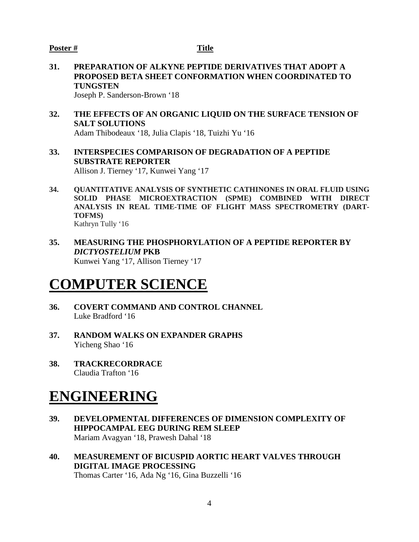#### **Poster # Title**

**31. PREPARATION OF ALKYNE PEPTIDE DERIVATIVES THAT ADOPT A PROPOSED BETA SHEET CONFORMATION WHEN COORDINATED TO TUNGSTEN**

Joseph P. Sanderson-Brown '18

- **32. THE EFFECTS OF AN ORGANIC LIQUID ON THE SURFACE TENSION OF SALT SOLUTIONS** Adam Thibodeaux '18, Julia Clapis '18, Tuizhi Yu '16
- **33. INTERSPECIES COMPARISON OF DEGRADATION OF A PEPTIDE SUBSTRATE REPORTER** Allison J. Tierney '17, Kunwei Yang '17
- **34. QUANTITATIVE ANALYSIS OF SYNTHETIC CATHINONES IN ORAL FLUID USING SOLID PHASE MICROEXTRACTION (SPME) COMBINED WITH DIRECT ANALYSIS IN REAL TIME-TIME OF FLIGHT MASS SPECTROMETRY (DART-TOFMS)** Kathryn Tully '16
- **35. MEASURING THE PHOSPHORYLATION OF A PEPTIDE REPORTER BY** *DICTYOSTELIUM* **PKB** Kunwei Yang '17, Allison Tierney '17

# **COMPUTER SCIENCE**

- **36. COVERT COMMAND AND CONTROL CHANNEL** Luke Bradford '16
- **37. RANDOM WALKS ON EXPANDER GRAPHS** Yicheng Shao '16
- **38. TRACKRECORDRACE** Claudia Trafton '16

# **ENGINEERING**

- **39. DEVELOPMENTAL DIFFERENCES OF DIMENSION COMPLEXITY OF HIPPOCAMPAL EEG DURING REM SLEEP**  Mariam Avagyan '18, Prawesh Dahal '18
- **40. MEASUREMENT OF BICUSPID AORTIC HEART VALVES THROUGH DIGITAL IMAGE PROCESSING** Thomas Carter '16, Ada Ng '16, Gina Buzzelli '16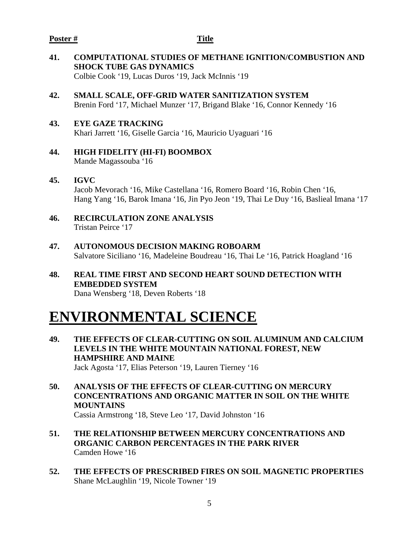### **Poster # Title**

- **41. COMPUTATIONAL STUDIES OF METHANE IGNITION/COMBUSTION AND SHOCK TUBE GAS DYNAMICS** Colbie Cook '19, Lucas Duros '19, Jack McInnis '19
- **42. SMALL SCALE, OFF-GRID WATER SANITIZATION SYSTEM** Brenin Ford '17, Michael Munzer '17, Brigand Blake '16, Connor Kennedy '16

# **43. EYE GAZE TRACKING**

Khari Jarrett '16, Giselle Garcia '16, Mauricio Uyaguari '16

- **44. HIGH FIDELITY (HI-FI) BOOMBOX** Mande Magassouba '16
- **45. IGVC** Jacob Mevorach '16, Mike Castellana '16, Romero Board '16, Robin Chen '16, Hang Yang '16, Barok Imana '16, Jin Pyo Jeon '19, Thai Le Duy '16, Baslieal Imana '17
- **46. RECIRCULATION ZONE ANALYSIS** Tristan Peirce '17
- **47. AUTONOMOUS DECISION MAKING ROBOARM** Salvatore Siciliano '16, Madeleine Boudreau '16, Thai Le '16, Patrick Hoagland '16
- **48. REAL TIME FIRST AND SECOND HEART SOUND DETECTION WITH EMBEDDED SYSTEM** Dana Wensberg '18, Deven Roberts '18

# **ENVIRONMENTAL SCIENCE**

- **49. THE EFFECTS OF CLEAR-CUTTING ON SOIL ALUMINUM AND CALCIUM LEVELS IN THE WHITE MOUNTAIN NATIONAL FOREST, NEW HAMPSHIRE AND MAINE** Jack Agosta '17, Elias Peterson '19, Lauren Tierney '16
- **50. ANALYSIS OF THE EFFECTS OF CLEAR-CUTTING ON MERCURY CONCENTRATIONS AND ORGANIC MATTER IN SOIL ON THE WHITE MOUNTAINS** Cassia Armstrong '18, Steve Leo '17, David Johnston '16
- **51. THE RELATIONSHIP BETWEEN MERCURY CONCENTRATIONS AND ORGANIC CARBON PERCENTAGES IN THE PARK RIVER** Camden Howe '16
- **52. THE EFFECTS OF PRESCRIBED FIRES ON SOIL MAGNETIC PROPERTIES** Shane McLaughlin '19, Nicole Towner '19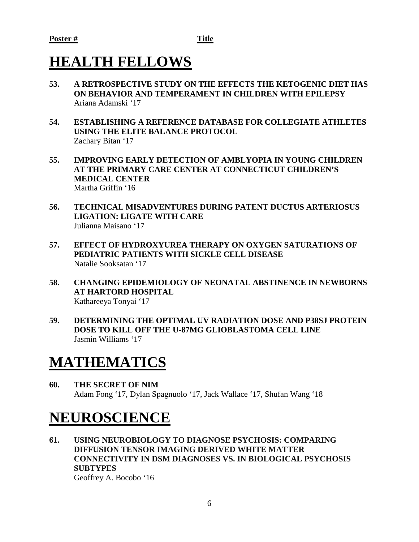# **HEALTH FELLOWS**

- **53. A RETROSPECTIVE STUDY ON THE EFFECTS THE KETOGENIC DIET HAS ON BEHAVIOR AND TEMPERAMENT IN CHILDREN WITH EPILEPSY** Ariana Adamski '17
- **54. ESTABLISHING A REFERENCE DATABASE FOR COLLEGIATE ATHLETES USING THE ELITE BALANCE PROTOCOL** Zachary Bitan '17
- **55. IMPROVING EARLY DETECTION OF AMBLYOPIA IN YOUNG CHILDREN AT THE PRIMARY CARE CENTER AT CONNECTICUT CHILDREN'S MEDICAL CENTER** Martha Griffin '16
- **56. TECHNICAL MISADVENTURES DURING PATENT DUCTUS ARTERIOSUS LIGATION: LIGATE WITH CARE** Julianna Maisano '17
- **57. EFFECT OF HYDROXYUREA THERAPY ON OXYGEN SATURATIONS OF PEDIATRIC PATIENTS WITH SICKLE CELL DISEASE** Natalie Sooksatan '17
- **58. CHANGING EPIDEMIOLOGY OF NEONATAL ABSTINENCE IN NEWBORNS AT HARTORD HOSPITAL** Kathareeya Tonyai '17
- **59. DETERMINING THE OPTIMAL UV RADIATION DOSE AND P38SJ PROTEIN DOSE TO KILL OFF THE U-87MG GLIOBLASTOMA CELL LINE** Jasmin Williams '17

# **MATHEMATICS**

**60. THE SECRET OF NIM** Adam Fong '17, Dylan Spagnuolo '17, Jack Wallace '17, Shufan Wang '18

# **NEUROSCIENCE**

**61. USING NEUROBIOLOGY TO DIAGNOSE PSYCHOSIS: COMPARING DIFFUSION TENSOR IMAGING DERIVED WHITE MATTER CONNECTIVITY IN DSM DIAGNOSES VS. IN BIOLOGICAL PSYCHOSIS SUBTYPES**

Geoffrey A. Bocobo '16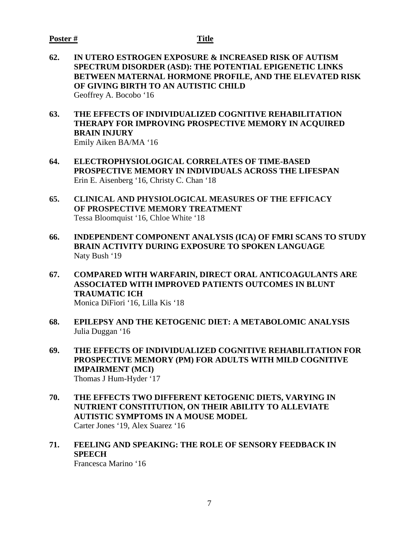#### **Poster # Title**

- **62. IN UTERO ESTROGEN EXPOSURE & INCREASED RISK OF AUTISM SPECTRUM DISORDER (ASD): THE POTENTIAL EPIGENETIC LINKS BETWEEN MATERNAL HORMONE PROFILE, AND THE ELEVATED RISK OF GIVING BIRTH TO AN AUTISTIC CHILD** Geoffrey A. Bocobo '16
- **63. THE EFFECTS OF INDIVIDUALIZED COGNITIVE REHABILITATION THERAPY FOR IMPROVING PROSPECTIVE MEMORY IN ACQUIRED BRAIN INJURY**  Emily Aiken BA/MA '16
- **64. ELECTROPHYSIOLOGICAL CORRELATES OF TIME-BASED PROSPECTIVE MEMORY IN INDIVIDUALS ACROSS THE LIFESPAN** Erin E. Aisenberg '16, Christy C. Chan '18
- **65. CLINICAL AND PHYSIOLOGICAL MEASURES OF THE EFFICACY OF PROSPECTIVE MEMORY TREATMENT** Tessa Bloomquist '16, Chloe White '18
- **66. INDEPENDENT COMPONENT ANALYSIS (ICA) OF FMRI SCANS TO STUDY BRAIN ACTIVITY DURING EXPOSURE TO SPOKEN LANGUAGE** Naty Bush '19
- **67. COMPARED WITH WARFARIN, DIRECT ORAL ANTICOAGULANTS ARE ASSOCIATED WITH IMPROVED PATIENTS OUTCOMES IN BLUNT TRAUMATIC ICH** Monica DiFiori '16, Lilla Kis '18
- **68. EPILEPSY AND THE KETOGENIC DIET: A METABOLOMIC ANALYSIS** Julia Duggan '16
- **69. THE EFFECTS OF INDIVIDUALIZED COGNITIVE REHABILITATION FOR PROSPECTIVE MEMORY (PM) FOR ADULTS WITH MILD COGNITIVE IMPAIRMENT (MCI)** Thomas J Hum-Hyder '17
- **70. THE EFFECTS TWO DIFFERENT KETOGENIC DIETS, VARYING IN NUTRIENT CONSTITUTION, ON THEIR ABILITY TO ALLEVIATE AUTISTIC SYMPTOMS IN A MOUSE MODEL** Carter Jones '19, Alex Suarez '16
- **71. FEELING AND SPEAKING: THE ROLE OF SENSORY FEEDBACK IN SPEECH**

Francesca Marino '16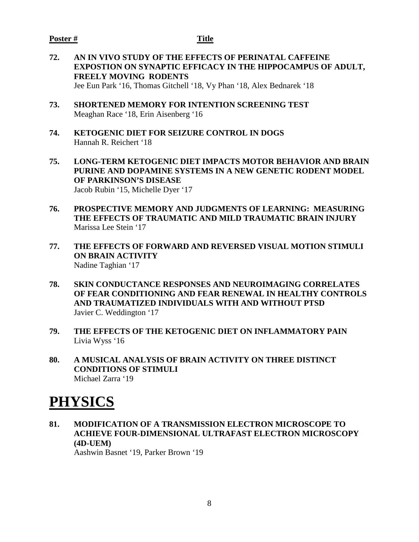### **Poster # Title**

**72. AN IN VIVO STUDY OF THE EFFECTS OF PERINATAL CAFFEINE EXPOSTION ON SYNAPTIC EFFICACY IN THE HIPPOCAMPUS OF ADULT, FREELY MOVING RODENTS** Jee Eun Park '16, Thomas Gitchell '18, Vy Phan '18, Alex Bednarek '18

**73. SHORTENED MEMORY FOR INTENTION SCREENING TEST** Meaghan Race '18, Erin Aisenberg '16

- **74. KETOGENIC DIET FOR SEIZURE CONTROL IN DOGS** Hannah R. Reichert '18
- **75. LONG-TERM KETOGENIC DIET IMPACTS MOTOR BEHAVIOR AND BRAIN PURINE AND DOPAMINE SYSTEMS IN A NEW GENETIC RODENT MODEL OF PARKINSON'S DISEASE** Jacob Rubin '15, Michelle Dyer '17
- **76. PROSPECTIVE MEMORY AND JUDGMENTS OF LEARNING: MEASURING THE EFFECTS OF TRAUMATIC AND MILD TRAUMATIC BRAIN INJURY** Marissa Lee Stein '17
- **77. THE EFFECTS OF FORWARD AND REVERSED VISUAL MOTION STIMULI ON BRAIN ACTIVITY** Nadine Taghian '17
- **78. SKIN CONDUCTANCE RESPONSES AND NEUROIMAGING CORRELATES OF FEAR CONDITIONING AND FEAR RENEWAL IN HEALTHY CONTROLS AND TRAUMATIZED INDIVIDUALS WITH AND WITHOUT PTSD** Javier C. Weddington '17
- **79. THE EFFECTS OF THE KETOGENIC DIET ON INFLAMMATORY PAIN** Livia Wyss '16
- **80. A MUSICAL ANALYSIS OF BRAIN ACTIVITY ON THREE DISTINCT CONDITIONS OF STIMULI**  Michael Zarra '19

# **PHYSICS**

**81. MODIFICATION OF A TRANSMISSION ELECTRON MICROSCOPE TO ACHIEVE FOUR-DIMENSIONAL ULTRAFAST ELECTRON MICROSCOPY (4D-UEM)** Aashwin Basnet '19, Parker Brown '19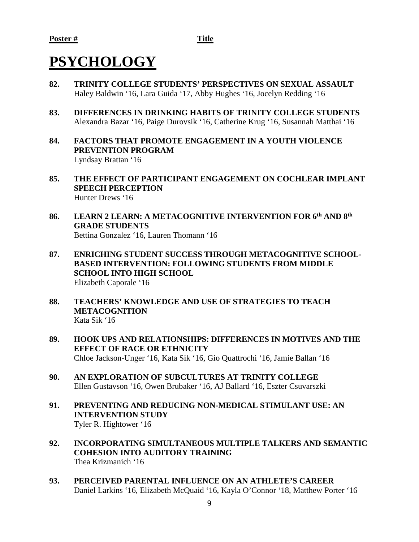# **PSYCHOLOGY**

- **82. TRINITY COLLEGE STUDENTS' PERSPECTIVES ON SEXUAL ASSAULT** Haley Baldwin '16, Lara Guida '17, Abby Hughes '16, Jocelyn Redding '16
- **83. DIFFERENCES IN DRINKING HABITS OF TRINITY COLLEGE STUDENTS** Alexandra Bazar '16, Paige Durovsik '16, Catherine Krug '16, Susannah Matthai '16
- **84. FACTORS THAT PROMOTE ENGAGEMENT IN A YOUTH VIOLENCE PREVENTION PROGRAM** Lyndsay Brattan '16
- **85. THE EFFECT OF PARTICIPANT ENGAGEMENT ON COCHLEAR IMPLANT SPEECH PERCEPTION** Hunter Drews '16
- **86. LEARN 2 LEARN: A METACOGNITIVE INTERVENTION FOR 6th AND 8th GRADE STUDENTS** Bettina Gonzalez '16, Lauren Thomann '16
- **87. ENRICHING STUDENT SUCCESS THROUGH METACOGNITIVE SCHOOL-BASED INTERVENTION: FOLLOWING STUDENTS FROM MIDDLE SCHOOL INTO HIGH SCHOOL** Elizabeth Caporale '16
- **88. TEACHERS' KNOWLEDGE AND USE OF STRATEGIES TO TEACH METACOGNITION**  Kata Sik '16
- **89. HOOK UPS AND RELATIONSHIPS: DIFFERENCES IN MOTIVES AND THE EFFECT OF RACE OR ETHNICITY** Chloe Jackson-Unger '16, Kata Sik '16, Gio Quattrochi '16, Jamie Ballan '16
- **90. AN EXPLORATION OF SUBCULTURES AT TRINITY COLLEGE** Ellen Gustavson '16, Owen Brubaker '16, AJ Ballard '16, Eszter Csuvarszki
- **91. PREVENTING AND REDUCING NON-MEDICAL STIMULANT USE: AN INTERVENTION STUDY** Tyler R. Hightower '16
- **92. INCORPORATING SIMULTANEOUS MULTIPLE TALKERS AND SEMANTIC COHESION INTO AUDITORY TRAINING** Thea Krizmanich '16
- **93. PERCEIVED PARENTAL INFLUENCE ON AN ATHLETE'S CAREER** Daniel Larkins '16, Elizabeth McQuaid '16, Kayla O'Connor '18, Matthew Porter '16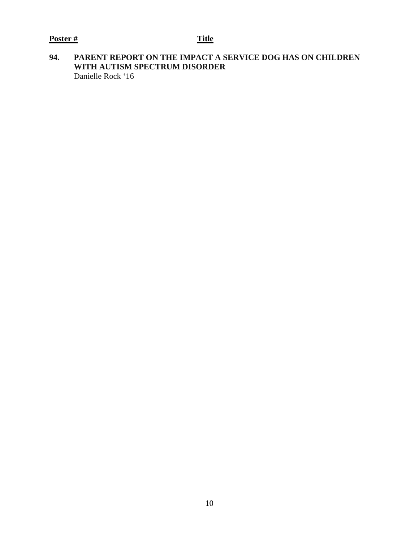# **94. PARENT REPORT ON THE IMPACT A SERVICE DOG HAS ON CHILDREN WITH AUTISM SPECTRUM DISORDER** Danielle Rock '16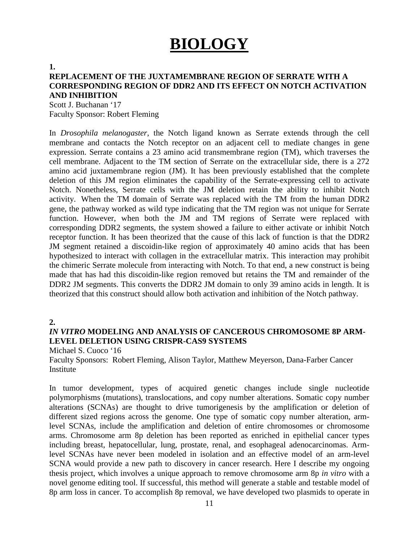# **BIOLOGY**

**1.**

# **REPLACEMENT OF THE JUXTAMEMBRANE REGION OF SERRATE WITH A CORRESPONDING REGION OF DDR2 AND ITS EFFECT ON NOTCH ACTIVATION AND INHIBITION**

Scott J. Buchanan '17 Faculty Sponsor: Robert Fleming

In *Drosophila melanogaster*, the Notch ligand known as Serrate extends through the cell membrane and contacts the Notch receptor on an adjacent cell to mediate changes in gene expression. Serrate contains a 23 amino acid transmembrane region (TM), which traverses the cell membrane. Adjacent to the TM section of Serrate on the extracellular side, there is a 272 amino acid juxtamembrane region (JM). It has been previously established that the complete deletion of this JM region eliminates the capability of the Serrate-expressing cell to activate Notch. Nonetheless, Serrate cells with the JM deletion retain the ability to inhibit Notch activity. When the TM domain of Serrate was replaced with the TM from the human DDR2 gene, the pathway worked as wild type indicating that the TM region was not unique for Serrate function. However, when both the JM and TM regions of Serrate were replaced with corresponding DDR2 segments, the system showed a failure to either activate or inhibit Notch receptor function. It has been theorized that the cause of this lack of function is that the DDR2 JM segment retained a discoidin-like region of approximately 40 amino acids that has been hypothesized to interact with collagen in the extracellular matrix. This interaction may prohibit the chimeric Serrate molecule from interacting with Notch. To that end, a new construct is being made that has had this discoidin-like region removed but retains the TM and remainder of the DDR2 JM segments. This converts the DDR2 JM domain to only 39 amino acids in length. It is theorized that this construct should allow both activation and inhibition of the Notch pathway.

**2.**

# *IN VITRO* **MODELING AND ANALYSIS OF CANCEROUS CHROMOSOME 8P ARM-LEVEL DELETION USING CRISPR-CAS9 SYSTEMS**

Michael S. Cuoco '16

Faculty Sponsors: Robert Fleming, Alison Taylor, Matthew Meyerson, Dana-Farber Cancer Institute

In tumor development, types of acquired genetic changes include single nucleotide polymorphisms (mutations), translocations, and copy number alterations. Somatic copy number alterations (SCNAs) are thought to drive tumorigenesis by the amplification or deletion of different sized regions across the genome. One type of somatic copy number alteration, armlevel SCNAs, include the amplification and deletion of entire chromosomes or chromosome arms. Chromosome arm 8p deletion has been reported as enriched in epithelial cancer types including breast, hepatocellular, lung, prostate, renal, and esophageal adenocarcinomas. Armlevel SCNAs have never been modeled in isolation and an effective model of an arm-level SCNA would provide a new path to discovery in cancer research. Here I describe my ongoing thesis project, which involves a unique approach to remove chromosome arm 8p *in vitro* with a novel genome editing tool. If successful, this method will generate a stable and testable model of 8p arm loss in cancer. To accomplish 8p removal, we have developed two plasmids to operate in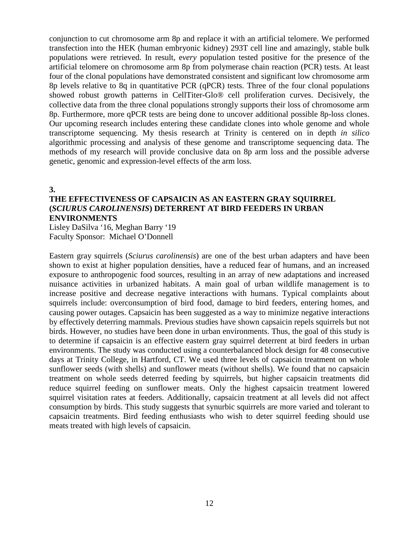conjunction to cut chromosome arm 8p and replace it with an artificial telomere. We performed transfection into the HEK (human embryonic kidney) 293T cell line and amazingly, stable bulk populations were retrieved. In result, e*very* population tested positive for the presence of the artificial telomere on chromosome arm 8p from polymerase chain reaction (PCR) tests. At least four of the clonal populations have demonstrated consistent and significant low chromosome arm 8p levels relative to 8q in quantitative PCR (qPCR) tests. Three of the four clonal populations showed robust growth patterns in CellTiter-Glo® cell proliferation curves. Decisively, the collective data from the three clonal populations strongly supports their loss of chromosome arm 8p. Furthermore, more qPCR tests are being done to uncover additional possible 8p-loss clones. Our upcoming research includes entering these candidate clones into whole genome and whole transcriptome sequencing. My thesis research at Trinity is centered on in depth *in silico* algorithmic processing and analysis of these genome and transcriptome sequencing data. The methods of my research will provide conclusive data on 8p arm loss and the possible adverse genetic, genomic and expression-level effects of the arm loss.

**3.**

# **THE EFFECTIVENESS OF CAPSAICIN AS AN EASTERN GRAY SQUIRREL (***SCIURUS CAROLINENSIS***) DETERRENT AT BIRD FEEDERS IN URBAN ENVIRONMENTS**

Lisley DaSilva '16, Meghan Barry '19 Faculty Sponsor: Michael O'Donnell

Eastern gray squirrels (*Sciurus carolinensis*) are one of the best urban adapters and have been shown to exist at higher population densities, have a reduced fear of humans, and an increased exposure to anthropogenic food sources, resulting in an array of new adaptations and increased nuisance activities in urbanized habitats. A main goal of urban wildlife management is to increase positive and decrease negative interactions with humans. Typical complaints about squirrels include: overconsumption of bird food, damage to bird feeders, entering homes, and causing power outages. Capsaicin has been suggested as a way to minimize negative interactions by effectively deterring mammals. Previous studies have shown capsaicin repels squirrels but not birds. However, no studies have been done in urban environments. Thus, the goal of this study is to determine if capsaicin is an effective eastern gray squirrel deterrent at bird feeders in urban environments. The study was conducted using a counterbalanced block design for 48 consecutive days at Trinity College, in Hartford, CT. We used three levels of capsaicin treatment on whole sunflower seeds (with shells) and sunflower meats (without shells). We found that no capsaicin treatment on whole seeds deterred feeding by squirrels, but higher capsaicin treatments did reduce squirrel feeding on sunflower meats. Only the highest capsaicin treatment lowered squirrel visitation rates at feeders. Additionally, capsaicin treatment at all levels did not affect consumption by birds. This study suggests that synurbic squirrels are more varied and tolerant to capsaicin treatments. Bird feeding enthusiasts who wish to deter squirrel feeding should use meats treated with high levels of capsaicin.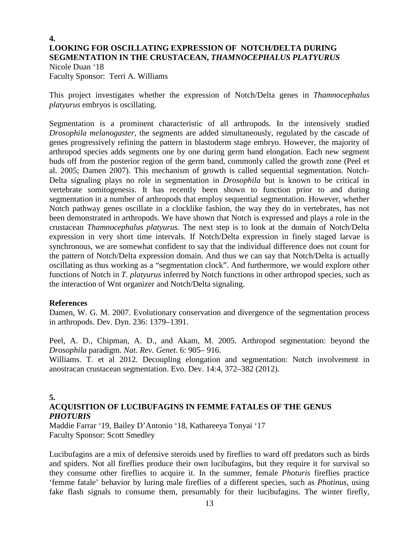# **4. LOOKING FOR OSCILLATING EXPRESSION OF NOTCH/DELTA DURING SEGMENTATION IN THE CRUSTACEAN,** *THAMNOCEPHALUS PLATYURUS*

Nicole Duan '18 Faculty Sponsor: Terri A. Williams

This project investigates whether the expression of Notch/Delta genes in *Thamnocephalus platyurus* embryos is oscillating.

Segmentation is a prominent characteristic of all arthropods. In the intensively studied *Drosophila melanogaster*, the segments are added simultaneously, regulated by the cascade of genes progressively refining the pattern in blastoderm stage embryo. However, the majority of arthropod species adds segments one by one during germ band elongation. Each new segment buds off from the posterior region of the germ band, commonly called the growth zone (Peel et al. 2005; Damen 2007). This mechanism of growth is called sequential segmentation. Notch-Delta signaling plays no role in segmentation in *Drosophila* but is known to be critical in vertebrate somitogenesis. It has recently been shown to function prior to and during segmentation in a number of arthropods that employ sequential segmentation. However, whether Notch pathway genes oscillate in a clocklike fashion, the way they do in vertebrates, has not been demonstrated in arthropods. We have shown that Notch is expressed and plays a role in the crustacean *Thamnocephalus platyurus.* The next step is to look at the domain of Notch/Delta expression in very short time intervals. If Notch/Delta expression in finely staged larvae is synchronous, we are somewhat confident to say that the individual difference does not count for the pattern of Notch/Delta expression domain. And thus we can say that Notch/Delta is actually oscillating as thus working as a "segmentation clock". And furthermore, we would explore other functions of Notch in *T. platyurus* inferred by Notch functions in other arthropod species, such as the interaction of Wnt organizer and Notch/Delta signaling.

# **References**

Damen, W. G. M. 2007. Evolutionary conservation and divergence of the segmentation process in arthropods. Dev. Dyn. 236: 1379–1391.

Peel, A. D., Chipman, A. D., and Akam, M. 2005. Arthropod segmentation: beyond the *Drosophila* paradigm. *Nat. Rev. Genet.* 6: 905– 916.

Williams. T. et al 2012. Decoupling elongation and segmentation: Notch involvement in anostracan crustacean segmentation. Evo. Dev. 14:4, 372–382 (2012).

# **5.**

# **ACQUISITION OF LUCIBUFAGINS IN FEMME FATALES OF THE GENUS**  *PHOTURIS*

Maddie Farrar '19, Bailey D'Antonio '18, Kathareeya Tonyai '17 Faculty Sponsor: Scott Smedley

Lucibufagins are a mix of defensive steroids used by fireflies to ward off predators such as birds and spiders. Not all fireflies produce their own lucibufagins, but they require it for survival so they consume other fireflies to acquire it. In the summer, female *Photuris* fireflies practice 'femme fatale' behavior by luring male fireflies of a different species, such as *Photinus*, using fake flash signals to consume them, presumably for their lucibufagins. The winter firefly,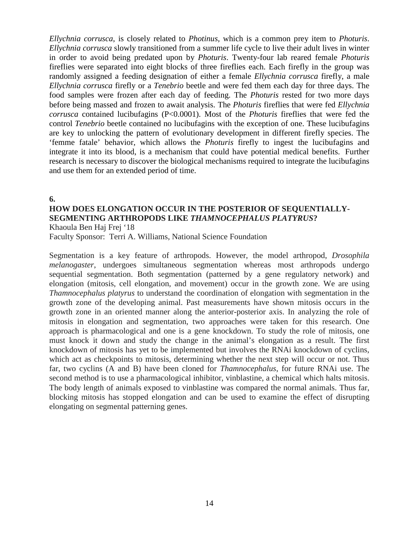*Ellychnia corrusca*, is closely related to *Photinus,* which is a common prey item to *Photuris*. *Ellychnia corrusca* slowly transitioned from a summer life cycle to live their adult lives in winter in order to avoid being predated upon by *Photuris*. Twenty-four lab reared female *Photuris* fireflies were separated into eight blocks of three fireflies each. Each firefly in the group was randomly assigned a feeding designation of either a female *Ellychnia corrusca* firefly, a male *Ellychnia corrusca* firefly or a *Tenebrio* beetle and were fed them each day for three days. The food samples were frozen after each day of feeding. The *Photuris* rested for two more days before being massed and frozen to await analysis. The *Photuris* fireflies that were fed *Ellychnia corrusca* contained lucibufagins (P<0.0001). Most of the *Photuris* fireflies that were fed the control *Tenebrio* beetle contained no lucibufagins with the exception of one. These lucibufagins are key to unlocking the pattern of evolutionary development in different firefly species. The 'femme fatale' behavior, which allows the *Photuris* firefly to ingest the lucibufagins and integrate it into its blood, is a mechanism that could have potential medical benefits. Further research is necessary to discover the biological mechanisms required to integrate the lucibufagins and use them for an extended period of time.

**6.**

### **HOW DOES ELONGATION OCCUR IN THE POSTERIOR OF SEQUENTIALLY-SEGMENTING ARTHROPODS LIKE** *THAMNOCEPHALUS PLATYRUS***?** Khaoula Ben Haj Frej '18

Faculty Sponsor: Terri A. Williams, National Science Foundation

Segmentation is a key feature of arthropods. However, the model arthropod, *Drosophila melanogaster*, undergoes simultaneous segmentation whereas most arthropods undergo sequential segmentation. Both segmentation (patterned by a gene regulatory network) and elongation (mitosis, cell elongation, and movement) occur in the growth zone. We are using *Thamnocephalus platyrus* to understand the coordination of elongation with segmentation in the growth zone of the developing animal. Past measurements have shown mitosis occurs in the growth zone in an oriented manner along the anterior-posterior axis. In analyzing the role of mitosis in elongation and segmentation, two approaches were taken for this research. One approach is pharmacological and one is a gene knockdown. To study the role of mitosis, one must knock it down and study the change in the animal's elongation as a result. The first knockdown of mitosis has yet to be implemented but involves the RNAi knockdown of cyclins, which act as checkpoints to mitosis, determining whether the next step will occur or not. Thus far, two cyclins (A and B) have been cloned for *Thamnocephalus*, for future RNAi use. The second method is to use a pharmacological inhibitor, vinblastine, a chemical which halts mitosis. The body length of animals exposed to vinblastine was compared the normal animals. Thus far, blocking mitosis has stopped elongation and can be used to examine the effect of disrupting elongating on segmental patterning genes.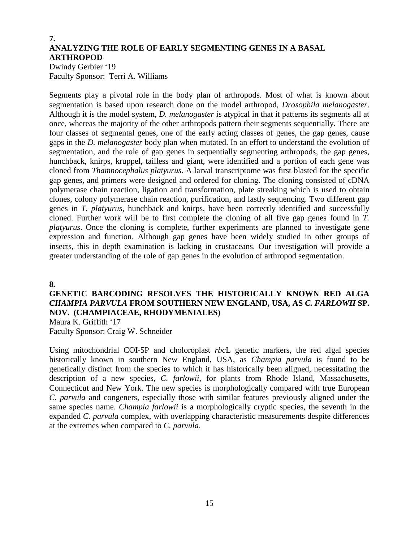# **7. ANALYZING THE ROLE OF EARLY SEGMENTING GENES IN A BASAL ARTHROPOD**

Dwindy Gerbier '19 Faculty Sponsor: Terri A. Williams

Segments play a pivotal role in the body plan of arthropods. Most of what is known about segmentation is based upon research done on the model arthropod, *Drosophila melanogaster*. Although it is the model system, *D. melanogaster* is atypical in that it patterns its segments all at once, whereas the majority of the other arthropods pattern their segments sequentially. There are four classes of segmental genes, one of the early acting classes of genes, the gap genes, cause gaps in the *D. melanogaster* body plan when mutated. In an effort to understand the evolution of segmentation, and the role of gap genes in sequentially segmenting arthropods, the gap genes, hunchback, knirps, kruppel, tailless and giant, were identified and a portion of each gene was cloned from *Thamnocephalus platyurus*. A larval transcriptome was first blasted for the specific gap genes, and primers were designed and ordered for cloning. The cloning consisted of cDNA polymerase chain reaction, ligation and transformation, plate streaking which is used to obtain clones, colony polymerase chain reaction, purification, and lastly sequencing. Two different gap genes in *T. platyurus*, hunchback and knirps, have been correctly identified and successfully cloned. Further work will be to first complete the cloning of all five gap genes found in *T. platyurus*. Once the cloning is complete, further experiments are planned to investigate gene expression and function. Although gap genes have been widely studied in other groups of insects, this in depth examination is lacking in crustaceans. Our investigation will provide a greater understanding of the role of gap genes in the evolution of arthropod segmentation.

**8.**

# **GENETIC BARCODING RESOLVES THE HISTORICALLY KNOWN RED ALGA**  *CHAMPIA PARVULA* **FROM SOUTHERN NEW ENGLAND, USA, AS** *C. FARLOWII* **SP. NOV. (CHAMPIACEAE, RHODYMENIALES)**

Maura K. Griffith '17 Faculty Sponsor: Craig W. Schneider

Using mitochondrial COI-5P and choloroplast *rbc*L genetic markers, the red algal species historically known in southern New England, USA, as *Champia parvula* is found to be genetically distinct from the species to which it has historically been aligned, necessitating the description of a new species, *C. farlowii*, for plants from Rhode Island, Massachusetts, Connecticut and New York. The new species is morphologically compared with true European *C. parvula* and congeners, especially those with similar features previously aligned under the same species name. *Champia farlowii* is a morphologically cryptic species, the seventh in the expanded *C. parvula* complex, with overlapping characteristic measurements despite differences at the extremes when compared to *C. parvula*.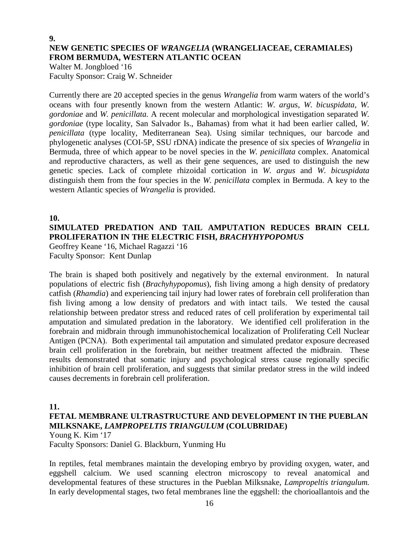# **9. NEW GENETIC SPECIES OF** *WRANGELIA* **(WRANGELIACEAE, CERAMIALES) FROM BERMUDA, WESTERN ATLANTIC OCEAN**

Walter M. Jongbloed '16 Faculty Sponsor: Craig W. Schneider

Currently there are 20 accepted species in the genus *Wrangelia* from warm waters of the world's oceans with four presently known from the western Atlantic: *W. argus*, *W. bicuspidata, W. gordoniae* and *W. penicillata.* A recent molecular and morphological investigation separated *W. gordoniae* (type locality, San Salvador Is., Bahamas) from what it had been earlier called, *W. penicillata* (type locality, Mediterranean Sea). Using similar techniques, our barcode and phylogenetic analyses (COI-5P, SSU rDNA) indicate the presence of six species of *Wrangelia* in Bermuda, three of which appear to be novel species in the *W. penicillata* complex. Anatomical and reproductive characters, as well as their gene sequences, are used to distinguish the new genetic species*.* Lack of complete rhizoidal cortication in *W. argus* and *W. bicuspidata*  distinguish them from the four species in the *W. penicillata* complex in Bermuda. A key to the western Atlantic species of *Wrangelia* is provided.

# **10. SIMULATED PREDATION AND TAIL AMPUTATION REDUCES BRAIN CELL PROLIFERATION IN THE ELECTRIC FISH,** *BRACHYHYPOPOMUS*

Geoffrey Keane '16, Michael Ragazzi '16 Faculty Sponsor: Kent Dunlap

The brain is shaped both positively and negatively by the external environment. In natural populations of electric fish (*Brachyhypopomus*), fish living among a high density of predatory catfish (*Rhamdia*) and experiencing tail injury had lower rates of forebrain cell proliferation than fish living among a low density of predators and with intact tails. We tested the causal relationship between predator stress and reduced rates of cell proliferation by experimental tail amputation and simulated predation in the laboratory. We identified cell proliferation in the forebrain and midbrain through immunohistochemical localization of Proliferating Cell Nuclear Antigen (PCNA). Both experimental tail amputation and simulated predator exposure decreased brain cell proliferation in the forebrain, but neither treatment affected the midbrain. These results demonstrated that somatic injury and psychological stress cause regionally specific inhibition of brain cell proliferation, and suggests that similar predator stress in the wild indeed causes decrements in forebrain cell proliferation.

# **11.**

# **FETAL MEMBRANE ULTRASTRUCTURE AND DEVELOPMENT IN THE PUEBLAN MILKSNAKE,** *LAMPROPELTIS TRIANGULUM* **(COLUBRIDAE)** Young K. Kim '17

Faculty Sponsors: Daniel G. Blackburn, Yunming Hu

In reptiles, fetal membranes maintain the developing embryo by providing oxygen, water, and eggshell calcium. We used scanning electron microscopy to reveal anatomical and developmental features of these structures in the Pueblan Milksnake, *Lampropeltis triangulum.*  In early developmental stages, two fetal membranes line the eggshell: the chorioallantois and the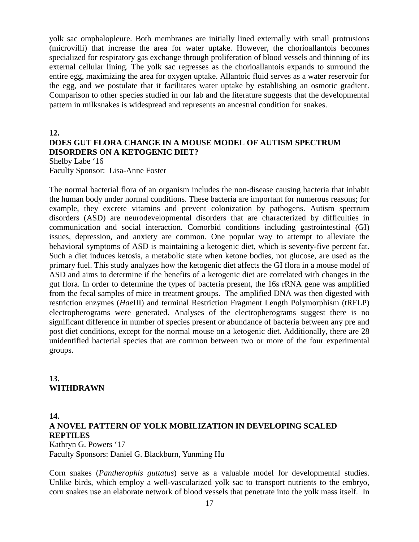yolk sac omphalopleure. Both membranes are initially lined externally with small protrusions (microvilli) that increase the area for water uptake. However, the chorioallantois becomes specialized for respiratory gas exchange through proliferation of blood vessels and thinning of its external cellular lining. The yolk sac regresses as the chorioallantois expands to surround the entire egg, maximizing the area for oxygen uptake. Allantoic fluid serves as a water reservoir for the egg, and we postulate that it facilitates water uptake by establishing an osmotic gradient. Comparison to other species studied in our lab and the literature suggests that the developmental pattern in milksnakes is widespread and represents an ancestral condition for snakes.

# **12.**

# **DOES GUT FLORA CHANGE IN A MOUSE MODEL OF AUTISM SPECTRUM DISORDERS ON A KETOGENIC DIET?**

Shelby Labe '16 Faculty Sponsor: Lisa-Anne Foster

The normal bacterial flora of an organism includes the non-disease causing bacteria that inhabit the human body under normal conditions. These bacteria are important for numerous reasons; for example, they excrete vitamins and prevent colonization by pathogens. Autism spectrum disorders (ASD) are neurodevelopmental disorders that are characterized by difficulties in communication and social interaction. Comorbid conditions including gastrointestinal (GI) issues, depression, and anxiety are common. One popular way to attempt to alleviate the behavioral symptoms of ASD is maintaining a ketogenic diet, which is seventy-five percent fat. Such a diet induces ketosis, a metabolic state when ketone bodies, not glucose, are used as the primary fuel. This study analyzes how the ketogenic diet affects the GI flora in a mouse model of ASD and aims to determine if the benefits of a ketogenic diet are correlated with changes in the gut flora. In order to determine the types of bacteria present, the 16s rRNA gene was amplified from the fecal samples of mice in treatment groups. The amplified DNA was then digested with restriction enzymes (*Hae*III) and terminal Restriction Fragment Length Polymorphism (tRFLP) electropherograms were generated. Analyses of the electropherograms suggest there is no significant difference in number of species present or abundance of bacteria between any pre and post diet conditions, except for the normal mouse on a ketogenic diet. Additionally, there are 28 unidentified bacterial species that are common between two or more of the four experimental groups.

# **13. WITHDRAWN**

#### **14.**

# **A NOVEL PATTERN OF YOLK MOBILIZATION IN DEVELOPING SCALED REPTILES**

Kathryn G. Powers '17 Faculty Sponsors: Daniel G. Blackburn, Yunming Hu

Corn snakes (*Pantherophis guttatus*) serve as a valuable model for developmental studies. Unlike birds, which employ a well-vascularized yolk sac to transport nutrients to the embryo, corn snakes use an elaborate network of blood vessels that penetrate into the yolk mass itself. In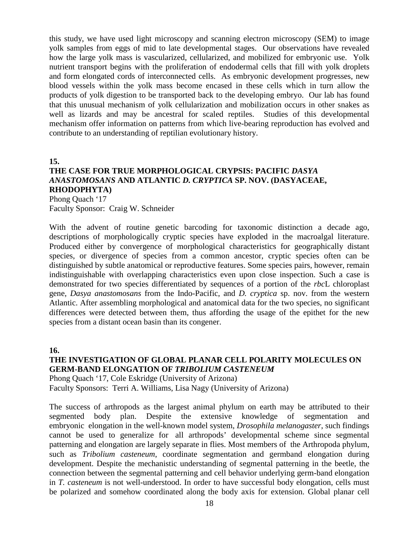this study, we have used light microscopy and scanning electron microscopy (SEM) to image yolk samples from eggs of mid to late developmental stages. Our observations have revealed how the large yolk mass is vascularized, cellularized, and mobilized for embryonic use. Yolk nutrient transport begins with the proliferation of endodermal cells that fill with yolk droplets and form elongated cords of interconnected cells. As embryonic development progresses, new blood vessels within the yolk mass become encased in these cells which in turn allow the products of yolk digestion to be transported back to the developing embryo. Our lab has found that this unusual mechanism of yolk cellularization and mobilization occurs in other snakes as well as lizards and may be ancestral for scaled reptiles. Studies of this developmental mechanism offer information on patterns from which live-bearing reproduction has evolved and contribute to an understanding of reptilian evolutionary history.

**15.**

# **THE CASE FOR TRUE MORPHOLOGICAL CRYPSIS: PACIFIC** *DASYA ANASTOMOSANS* **AND ATLANTIC** *D. CRYPTICA* **SP. NOV. (DASYACEAE, RHODOPHYTA)**

Phong Quach '17 Faculty Sponsor: Craig W. Schneider

With the advent of routine genetic barcoding for taxonomic distinction a decade ago, descriptions of morphologically cryptic species have exploded in the macroalgal literature. Produced either by convergence of morphological characteristics for geographically distant species, or divergence of species from a common ancestor, cryptic species often can be distinguished by subtle anatomical or reproductive features. Some species pairs, however, remain indistinguishable with overlapping characteristics even upon close inspection. Such a case is demonstrated for two species differentiated by sequences of a portion of the *rbc*L chloroplast gene, *Dasya anastomosans* from the Indo-Pacific, and *D. cryptica* sp. nov. from the western Atlantic. After assembling morphological and anatomical data for the two species, no significant differences were detected between them, thus affording the usage of the epithet for the new species from a distant ocean basin than its congener.

**16.**

# **THE INVESTIGATION OF GLOBAL PLANAR CELL POLARITY MOLECULES ON GERM-BAND ELONGATION OF** *TRIBOLIUM CASTENEUM*

Phong Quach '17, Cole Eskridge (University of Arizona) Faculty Sponsors: Terri A. Williams, Lisa Nagy (University of Arizona)

The success of arthropods as the largest animal phylum on earth may be attributed to their segmented body plan. Despite the extensive knowledge of segmentation and embryonic elongation in the well-known model system, *Drosophila melanogaster*, such findings cannot be used to generalize for all arthropods' developmental scheme since segmental patterning and elongation are largely separate in flies. Most members of the Arthropoda phylum, such as *Tribolium casteneum*, coordinate segmentation and germband elongation during development. Despite the mechanistic understanding of segmental patterning in the beetle, the connection between the segmental patterning and cell behavior underlying germ-band elongation in *T. casteneum* is not well-understood. In order to have successful body elongation, cells must be polarized and somehow coordinated along the body axis for extension. Global planar cell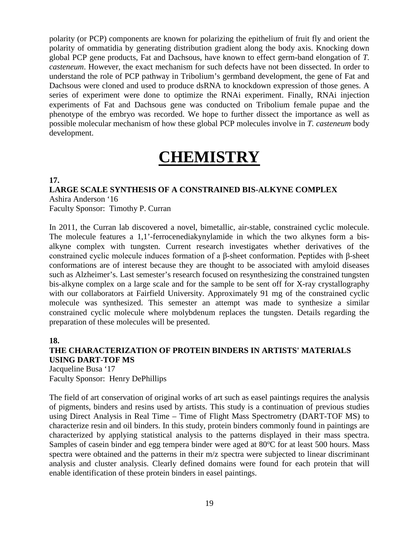polarity (or PCP) components are known for polarizing the epithelium of fruit fly and orient the polarity of ommatidia by generating distribution gradient along the body axis. Knocking down global PCP gene products, Fat and Dachsous, have known to effect germ-band elongation of *T. casteneum*. However, the exact mechanism for such defects have not been dissected. In order to understand the role of PCP pathway in Tribolium's germband development, the gene of Fat and Dachsous were cloned and used to produce dsRNA to knockdown expression of those genes. A series of experiment were done to optimize the RNAi experiment. Finally, RNAi injection experiments of Fat and Dachsous gene was conducted on Tribolium female pupae and the phenotype of the embryo was recorded. We hope to further dissect the importance as well as possible molecular mechanism of how these global PCP molecules involve in *T. casteneum* body development.

# **CHEMISTRY**

### **17.**

**LARGE SCALE SYNTHESIS OF A CONSTRAINED BIS-ALKYNE COMPLEX** Ashira Anderson '16 Faculty Sponsor: Timothy P. Curran

In 2011, the Curran lab discovered a novel, bimetallic, air-stable, constrained cyclic molecule. The molecule features a 1,1'-ferrocenediakynylamide in which the two alkynes form a bisalkyne complex with tungsten. Current research investigates whether derivatives of the constrained cyclic molecule induces formation of a β-sheet conformation. Peptides with β-sheet conformations are of interest because they are thought to be associated with amyloid diseases such as Alzheimer's. Last semester's research focused on resynthesizing the constrained tungsten bis-alkyne complex on a large scale and for the sample to be sent off for X-ray crystallography with our collaborators at Fairfield University. Approximately 91 mg of the constrained cyclic molecule was synthesized. This semester an attempt was made to synthesize a similar constrained cyclic molecule where molybdenum replaces the tungsten. Details regarding the preparation of these molecules will be presented.

# **18.**

**THE CHARACTERIZATION OF PROTEIN BINDERS IN ARTISTS' MATERIALS USING DART-TOF MS** Jacqueline Busa '17 Faculty Sponsor: Henry DePhillips

The field of art conservation of original works of art such as easel paintings requires the analysis of pigments, binders and resins used by artists. This study is a continuation of previous studies using Direct Analysis in Real Time – Time of Flight Mass Spectrometry (DART-TOF MS) to characterize resin and oil binders. In this study, protein binders commonly found in paintings are characterized by applying statistical analysis to the patterns displayed in their mass spectra. Samples of casein binder and egg tempera binder were aged at 80°C for at least 500 hours. Mass spectra were obtained and the patterns in their m/z spectra were subjected to linear discriminant analysis and cluster analysis. Clearly defined domains were found for each protein that will enable identification of these protein binders in easel paintings.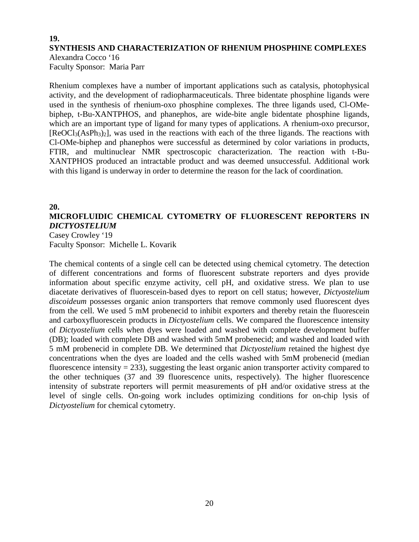# **19. SYNTHESIS AND CHARACTERIZATION OF RHENIUM PHOSPHINE COMPLEXES** Alexandra Cocco '16

Faculty Sponsor: Maria Parr

Rhenium complexes have a number of important applications such as catalysis, photophysical activity, and the development of radiopharmaceuticals. Three bidentate phosphine ligands were used in the synthesis of rhenium-oxo phosphine complexes. The three ligands used, Cl-OMebiphep, t-Bu-XANTPHOS, and phanephos, are wide-bite angle bidentate phosphine ligands, which are an important type of ligand for many types of applications. A rhenium-oxo precursor, [ReOCl3(AsPh3)2], was used in the reactions with each of the three ligands. The reactions with Cl-OMe-biphep and phanephos were successful as determined by color variations in products, FTIR, and multinuclear NMR spectroscopic characterization. The reaction with t-Bu-XANTPHOS produced an intractable product and was deemed unsuccessful. Additional work with this ligand is underway in order to determine the reason for the lack of coordination.

## **20.**

# **MICROFLUIDIC CHEMICAL CYTOMETRY OF FLUORESCENT REPORTERS IN**  *DICTYOSTELIUM*

Casey Crowley '19 Faculty Sponsor: Michelle L. Kovarik

The chemical contents of a single cell can be detected using chemical cytometry. The detection of different concentrations and forms of fluorescent substrate reporters and dyes provide information about specific enzyme activity, cell pH, and oxidative stress. We plan to use diacetate derivatives of fluorescein-based dyes to report on cell status; however, *Dictyostelium discoideum* possesses organic anion transporters that remove commonly used fluorescent dyes from the cell. We used 5 mM probenecid to inhibit exporters and thereby retain the fluorescein and carboxyfluorescein products in *Dictyostelium* cells. We compared the fluorescence intensity of *Dictyostelium* cells when dyes were loaded and washed with complete development buffer (DB); loaded with complete DB and washed with 5mM probenecid; and washed and loaded with 5 mM probenecid in complete DB. We determined that *Dictyostelium* retained the highest dye concentrations when the dyes are loaded and the cells washed with 5mM probenecid (median fluorescence intensity  $= 233$ ), suggesting the least organic anion transporter activity compared to the other techniques (37 and 39 fluorescence units, respectively). The higher fluorescence intensity of substrate reporters will permit measurements of pH and/or oxidative stress at the level of single cells. On-going work includes optimizing conditions for on-chip lysis of *Dictyostelium* for chemical cytometry.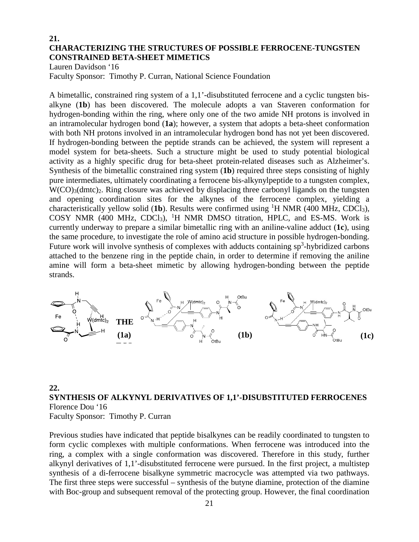# **21. CHARACTERIZING THE STRUCTURES OF POSSIBLE FERROCENE-TUNGSTEN CONSTRAINED BETA-SHEET MIMETICS**

Lauren Davidson '16

Faculty Sponsor: Timothy P. Curran, National Science Foundation

A bimetallic, constrained ring system of a 1,1'-disubstituted ferrocene and a cyclic tungsten bisalkyne (**1b**) has been discovered. The molecule adopts a van Staveren conformation for hydrogen-bonding within the ring, where only one of the two amide NH protons is involved in an intramolecular hydrogen bond (**1a**); however, a system that adopts a beta-sheet conformation with both NH protons involved in an intramolecular hydrogen bond has not yet been discovered. If hydrogen-bonding between the peptide strands can be achieved, the system will represent a model system for beta-sheets. Such a structure might be used to study potential biological activity as a highly specific drug for beta-sheet protein-related diseases such as Alzheimer's. Synthesis of the bimetallic constrained ring system (**1b**) required three steps consisting of highly pure intermediates, ultimately coordinating a ferrocene bis-alkynylpeptide to a tungsten complex, W(CO)<sub>3</sub>(dmtc)<sub>2</sub>. Ring closure was achieved by displacing three carbonyl ligands on the tungsten and opening coordination sites for the alkynes of the ferrocene complex, yielding a characteristically yellow solid (1b). Results were confirmed using <sup>1</sup>H NMR (400 MHz, CDCl<sub>3</sub>), COSY NMR (400 MHz, CDCl<sub>3</sub>), <sup>1</sup>H NMR DMSO titration, HPLC, and ES-MS. Work is currently underway to prepare a similar bimetallic ring with an aniline-valine adduct (**1c**), using the same procedure, to investigate the role of amino acid structure in possible hydrogen-bonding. Future work will involve synthesis of complexes with adducts containing  $sp<sup>3</sup>$ -hybridized carbons attached to the benzene ring in the peptide chain, in order to determine if removing the aniline amine will form a beta-sheet mimetic by allowing hydrogen-bonding between the peptide strands.



# **22. SYNTHESIS OF ALKYNYL DERIVATIVES OF 1,1'-DISUBSTITUTED FERROCENES** Florence Dou '16 Faculty Sponsor: Timothy P. Curran

Previous studies have indicated that peptide bisalkynes can be readily coordinated to tungsten to form cyclic complexes with multiple conformations. When ferrocene was introduced into the ring, a complex with a single conformation was discovered. Therefore in this study, further alkynyl derivatives of 1,1'-disubstituted ferrocene were pursued. In the first project, a multistep synthesis of a di-ferrocene bisalkyne symmetric macrocycle was attempted via two pathways. The first three steps were successful – synthesis of the butyne diamine, protection of the diamine with Boc-group and subsequent removal of the protecting group. However, the final coordination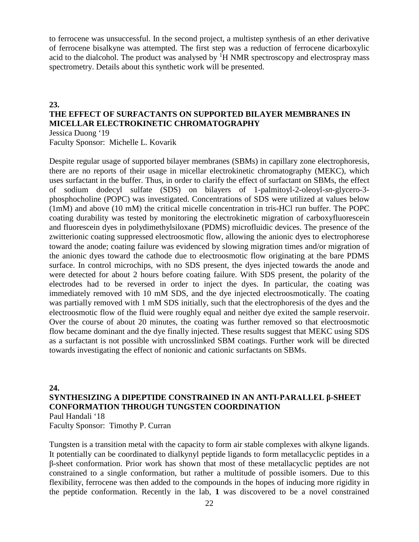to ferrocene was unsuccessful. In the second project, a multistep synthesis of an ether derivative of ferrocene bisalkyne was attempted. The first step was a reduction of ferrocene dicarboxylic acid to the dialcohol. The product was analysed by <sup>1</sup>H NMR spectroscopy and electrospray mass spectrometry. Details about this synthetic work will be presented.

### **23.**

# **THE EFFECT OF SURFACTANTS ON SUPPORTED BILAYER MEMBRANES IN MICELLAR ELECTROKINETIC CHROMATOGRAPHY**

Jessica Duong '19 Faculty Sponsor: Michelle L. Kovarik

Despite regular usage of supported bilayer membranes (SBMs) in capillary zone electrophoresis, there are no reports of their usage in micellar electrokinetic chromatography (MEKC), which uses surfactant in the buffer. Thus, in order to clarify the effect of surfactant on SBMs, the effect of sodium dodecyl sulfate (SDS) on bilayers of 1-palmitoyl-2-oleoyl-*sn*-glycero-3 phosphocholine (POPC) was investigated. Concentrations of SDS were utilized at values below (1mM) and above (10 mM) the critical micelle concentration in tris-HCl run buffer. The POPC coating durability was tested by monitoring the electrokinetic migration of carboxyfluorescein and fluorescein dyes in polydimethylsiloxane (PDMS) microfluidic devices. The presence of the zwitterionic coating suppressed electroosmotic flow, allowing the anionic dyes to electrophorese toward the anode; coating failure was evidenced by slowing migration times and/or migration of the anionic dyes toward the cathode due to electroosmotic flow originating at the bare PDMS surface. In control microchips, with no SDS present, the dyes injected towards the anode and were detected for about 2 hours before coating failure. With SDS present, the polarity of the electrodes had to be reversed in order to inject the dyes. In particular, the coating was immediately removed with 10 mM SDS, and the dye injected electroosmotically. The coating was partially removed with 1 mM SDS initially, such that the electrophoresis of the dyes and the electroosmotic flow of the fluid were roughly equal and neither dye exited the sample reservoir. Over the course of about 20 minutes, the coating was further removed so that electroosmotic flow became dominant and the dye finally injected. These results suggest that MEKC using SDS as a surfactant is not possible with uncrosslinked SBM coatings. Further work will be directed towards investigating the effect of nonionic and cationic surfactants on SBMs.

# **24. SYNTHESIZING A DIPEPTIDE CONSTRAINED IN AN ANTI-PARALLEL β-SHEET CONFORMATION THROUGH TUNGSTEN COORDINATION** Paul Handali '18

Faculty Sponsor: Timothy P. Curran

Tungsten is a transition metal with the capacity to form air stable complexes with alkyne ligands. It potentially can be coordinated to dialkynyl peptide ligands to form metallacyclic peptides in a β-sheet conformation. Prior work has shown that most of these metallacyclic peptides are not constrained to a single conformation, but rather a multitude of possible isomers. Due to this flexibility, ferrocene was then added to the compounds in the hopes of inducing more rigidity in the peptide conformation. Recently in the lab, **1** was discovered to be a novel constrained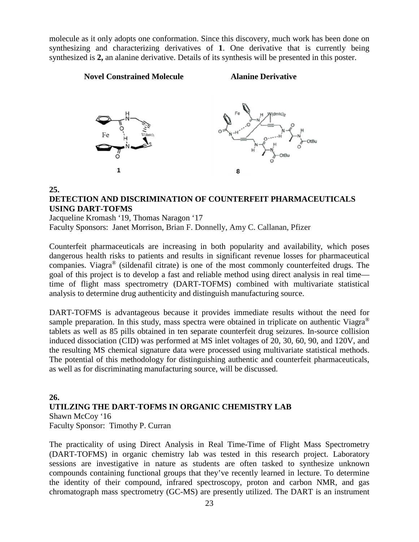molecule as it only adopts one conformation. Since this discovery, much work has been done on synthesizing and characterizing derivatives of **1**. One derivative that is currently being synthesized is **2,** an alanine derivative. Details of its synthesis will be presented in this poster.

#### **Novel Constrained Molecule Alanine Derivative**



#### **25.**

# **DETECTION AND DISCRIMINATION OF COUNTERFEIT PHARMACEUTICALS USING DART-TOFMS**

Jacqueline Kromash '19, Thomas Naragon '17 Faculty Sponsors: Janet Morrison, Brian F. Donnelly, Amy C. Callanan, Pfizer

Counterfeit pharmaceuticals are increasing in both popularity and availability, which poses dangerous health risks to patients and results in significant revenue losses for pharmaceutical companies. Viagra® (sildenafil citrate) is one of the most commonly counterfeited drugs. The goal of this project is to develop a fast and reliable method using direct analysis in real time time of flight mass spectrometry (DART-TOFMS) combined with multivariate statistical analysis to determine drug authenticity and distinguish manufacturing source.

DART-TOFMS is advantageous because it provides immediate results without the need for sample preparation. In this study, mass spectra were obtained in triplicate on authentic Viagra<sup>®</sup> tablets as well as 85 pills obtained in ten separate counterfeit drug seizures. In-source collision induced dissociation (CID) was performed at MS inlet voltages of 20, 30, 60, 90, and 120V, and the resulting MS chemical signature data were processed using multivariate statistical methods. The potential of this methodology for distinguishing authentic and counterfeit pharmaceuticals, as well as for discriminating manufacturing source, will be discussed.

# **26. UTILZING THE DART-TOFMS IN ORGANIC CHEMISTRY LAB** Shawn McCoy '16 Faculty Sponsor: Timothy P. Curran

The practicality of using Direct Analysis in Real Time-Time of Flight Mass Spectrometry (DART-TOFMS) in organic chemistry lab was tested in this research project. Laboratory sessions are investigative in nature as students are often tasked to synthesize unknown compounds containing functional groups that they've recently learned in lecture. To determine the identity of their compound, infrared spectroscopy, proton and carbon NMR, and gas chromatograph mass spectrometry (GC-MS) are presently utilized. The DART is an instrument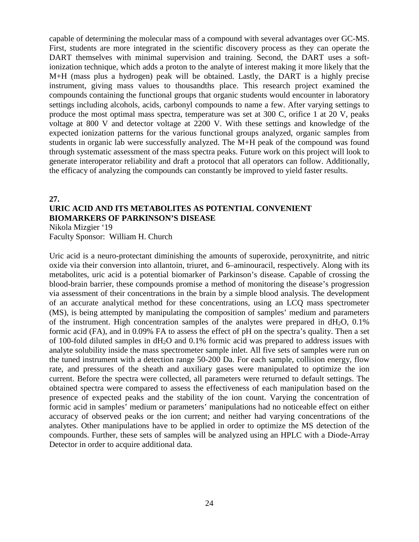capable of determining the molecular mass of a compound with several advantages over GC-MS. First, students are more integrated in the scientific discovery process as they can operate the DART themselves with minimal supervision and training. Second, the DART uses a softionization technique, which adds a proton to the analyte of interest making it more likely that the M+H (mass plus a hydrogen) peak will be obtained. Lastly, the DART is a highly precise instrument, giving mass values to thousandths place. This research project examined the compounds containing the functional groups that organic students would encounter in laboratory settings including alcohols, acids, carbonyl compounds to name a few. After varying settings to produce the most optimal mass spectra, temperature was set at 300 C, orifice 1 at 20 V, peaks voltage at 800 V and detector voltage at 2200 V. With these settings and knowledge of the expected ionization patterns for the various functional groups analyzed, organic samples from students in organic lab were successfully analyzed. The M+H peak of the compound was found through systematic assessment of the mass spectra peaks. Future work on this project will look to generate interoperator reliability and draft a protocol that all operators can follow. Additionally, the efficacy of analyzing the compounds can constantly be improved to yield faster results.

### **27. URIC ACID AND ITS METABOLITES AS POTENTIAL CONVENIENT BIOMARKERS OF PARKINSON'S DISEASE** Nikola Mizgier '19

Faculty Sponsor: William H. Church

Uric acid is a neuro-protectant diminishing the amounts of superoxide, peroxynitrite, and nitric oxide via their conversion into allantoin, triuret, and 6–aminouracil, respectively. Along with its metabolites, uric acid is a potential biomarker of Parkinson's disease. Capable of crossing the blood-brain barrier, these compounds promise a method of monitoring the disease's progression via assessment of their concentrations in the brain by a simple blood analysis. The development of an accurate analytical method for these concentrations, using an LCQ mass spectrometer (MS), is being attempted by manipulating the composition of samples' medium and parameters of the instrument. High concentration samples of the analytes were prepared in dH2O, 0.1% formic acid (FA), and in 0.09% FA to assess the effect of pH on the spectra's quality. Then a set of 100-fold diluted samples in  $dH_2O$  and 0.1% formic acid was prepared to address issues with analyte solubility inside the mass spectrometer sample inlet. All five sets of samples were run on the tuned instrument with a detection range 50-200 Da. For each sample, collision energy, flow rate, and pressures of the sheath and auxiliary gases were manipulated to optimize the ion current. Before the spectra were collected, all parameters were returned to default settings. The obtained spectra were compared to assess the effectiveness of each manipulation based on the presence of expected peaks and the stability of the ion count. Varying the concentration of formic acid in samples' medium or parameters' manipulations had no noticeable effect on either accuracy of observed peaks or the ion current; and neither had varying concentrations of the analytes. Other manipulations have to be applied in order to optimize the MS detection of the compounds. Further, these sets of samples will be analyzed using an HPLC with a Diode-Array Detector in order to acquire additional data.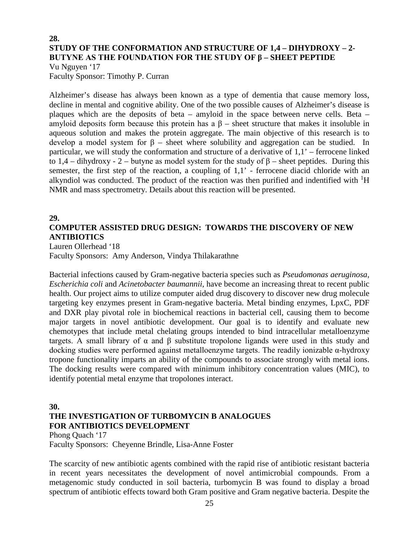# **28. STUDY OF THE CONFORMATION AND STRUCTURE OF 1,4 – DIHYDROXY – 2- BUTYNE AS THE FOUNDATION FOR THE STUDY OF β – SHEET PEPTIDE**

Vu Nguyen '17 Faculty Sponsor: Timothy P. Curran

Alzheimer's disease has always been known as a type of dementia that cause memory loss, decline in mental and cognitive ability. One of the two possible causes of Alzheimer's disease is plaques which are the deposits of beta – amyloid in the space between nerve cells. Beta – amyloid deposits form because this protein has a  $\beta$  – sheet structure that makes it insoluble in aqueous solution and makes the protein aggregate. The main objective of this research is to develop a model system for  $β$  – sheet where solubility and aggregation can be studied. In particular, we will study the conformation and structure of a derivative of 1,1' – ferrocene linked to 1,4 – dihydroxy - 2 – butyne as model system for the study of β – sheet peptides. During this semester, the first step of the reaction, a coupling of 1,1' - ferrocene diacid chloride with an alkyndiol was conducted. The product of the reaction was then purified and indentified with <sup>1</sup>H NMR and mass spectrometry. Details about this reaction will be presented.

# **29.**

# **COMPUTER ASSISTED DRUG DESIGN: TOWARDS THE DISCOVERY OF NEW ANTIBIOTICS**

Lauren Ollerhead '18

Faculty Sponsors: Amy Anderson, Vindya Thilakarathne

Bacterial infections caused by Gram-negative bacteria species such as *Pseudomonas aeruginosa*, *Escherichia coli* and *Acinetobacter baumannii*, have become an increasing threat to recent public health. Our project aims to utilize computer aided drug discovery to discover new drug molecule targeting key enzymes present in Gram-negative bacteria. Metal binding enzymes, LpxC, PDF and DXR play pivotal role in biochemical reactions in bacterial cell, causing them to become major targets in novel antibiotic development. Our goal is to identify and evaluate new chemotypes that include metal chelating groups intended to bind intracellular metalloenzyme targets. A small library of α and β substitute tropolone ligands were used in this study and docking studies were performed against metalloenzyme targets. The readily ionizable α-hydroxy tropone functionality imparts an ability of the compounds to associate strongly with metal ions. The docking results were compared with minimum inhibitory concentration values (MIC), to identify potential metal enzyme that tropolones interact.

# **30.**

# **THE INVESTIGATION OF TURBOMYCIN B ANALOGUES FOR ANTIBIOTICS DEVELOPMENT**

Phong Quach '17

Faculty Sponsors: Cheyenne Brindle, Lisa-Anne Foster

The scarcity of new antibiotic agents combined with the rapid rise of antibiotic resistant bacteria in recent years necessitates the development of novel antimicrobial compounds. From a metagenomic study conducted in soil bacteria, turbomycin B was found to display a broad spectrum of antibiotic effects toward both Gram positive and Gram negative bacteria. Despite the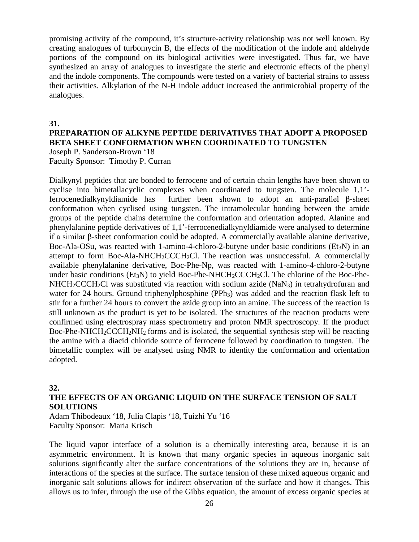promising activity of the compound, it's structure-activity relationship was not well known. By creating analogues of turbomycin B, the effects of the modification of the indole and aldehyde portions of the compound on its biological activities were investigated. Thus far, we have synthesized an array of analogues to investigate the steric and electronic effects of the phenyl and the indole components. The compounds were tested on a variety of bacterial strains to assess their activities. Alkylation of the N-H indole adduct increased the antimicrobial property of the analogues.

#### **31.**

#### **PREPARATION OF ALKYNE PEPTIDE DERIVATIVES THAT ADOPT A PROPOSED BETA SHEET CONFORMATION WHEN COORDINATED TO TUNGSTEN** Joseph P. Sanderson-Brown '18

Faculty Sponsor: Timothy P. Curran

Dialkynyl peptides that are bonded to ferrocene and of certain chain lengths have been shown to cyclise into bimetallacyclic complexes when coordinated to tungsten. The molecule 1,1' ferrocenedialkynyldiamide has further been shown to adopt an anti-parallel β-sheet conformation when cyclised using tungsten. The intramolecular bonding between the amide groups of the peptide chains determine the conformation and orientation adopted. Alanine and phenylalanine peptide derivatives of 1,1'-ferrocenedialkynyldiamide were analysed to determine if a similar β-sheet conformation could be adopted. A commercially available alanine derivative, Boc-Ala-OSu, was reacted with 1-amino-4-chloro-2-butyne under basic conditions ( $Et<sub>3</sub>N$ ) in an attempt to form Boc-Ala-NHCH<sub>2</sub>CCCH<sub>2</sub>Cl. The reaction was unsuccessful. A commercially available phenylalanine derivative, Boc-Phe-Np, was reacted with 1-amino-4-chloro-2-butyne under basic conditions (Et<sub>3</sub>N) to yield Boc-Phe-NHCH<sub>2</sub>CCCH<sub>2</sub>Cl. The chlorine of the Boc-Phe- $NHCH_2CCCH_2Cl$  was substituted via reaction with sodium azide (NaN<sub>3</sub>) in tetrahydrofuran and water for 24 hours. Ground triphenylphosphine (PPh<sub>3</sub>) was added and the reaction flask left to stir for a further 24 hours to convert the azide group into an amine. The success of the reaction is still unknown as the product is yet to be isolated. The structures of the reaction products were confirmed using electrospray mass spectrometry and proton NMR spectroscopy. If the product Boc-Phe-NHCH<sub>2</sub>CCCH<sub>2</sub>NH<sub>2</sub> forms and is isolated, the sequential synthesis step will be reacting the amine with a diacid chloride source of ferrocene followed by coordination to tungsten. The bimetallic complex will be analysed using NMR to identity the conformation and orientation adopted.

#### **32.**

# **THE EFFECTS OF AN ORGANIC LIQUID ON THE SURFACE TENSION OF SALT SOLUTIONS**

Adam Thibodeaux '18, Julia Clapis '18, Tuizhi Yu '16 Faculty Sponsor: Maria Krisch

The liquid vapor interface of a solution is a chemically interesting area, because it is an asymmetric environment. It is known that many organic species in aqueous inorganic salt solutions significantly alter the surface concentrations of the solutions they are in, because of interactions of the species at the surface. The surface tension of these mixed aqueous organic and inorganic salt solutions allows for indirect observation of the surface and how it changes. This allows us to infer, through the use of the Gibbs equation, the amount of excess organic species at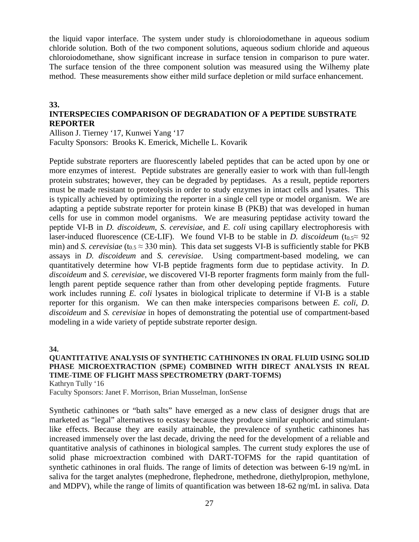the liquid vapor interface. The system under study is chloroiodomethane in aqueous sodium chloride solution. Both of the two component solutions, aqueous sodium chloride and aqueous chloroiodomethane, show significant increase in surface tension in comparison to pure water. The surface tension of the three component solution was measured using the Wilhemy plate method. These measurements show either mild surface depletion or mild surface enhancement.

#### **33.**

# **INTERSPECIES COMPARISON OF DEGRADATION OF A PEPTIDE SUBSTRATE REPORTER**

Allison J. Tierney '17, Kunwei Yang '17 Faculty Sponsors: Brooks K. Emerick, Michelle L. Kovarik

Peptide substrate reporters are fluorescently labeled peptides that can be acted upon by one or more enzymes of interest. Peptide substrates are generally easier to work with than full-length protein substrates; however, they can be degraded by peptidases. As a result, peptide reporters must be made resistant to proteolysis in order to study enzymes in intact cells and lysates. This is typically achieved by optimizing the reporter in a single cell type or model organism. We are adapting a peptide substrate reporter for protein kinase B (PKB) that was developed in human cells for use in common model organisms. We are measuring peptidase activity toward the peptide VI-B in *D. discoideum*, *S. cerevisiae*, and *E. coli* using capillary electrophoresis with laser-induced fluorescence (CE-LIF). We found VI-B to be stable in *D. discoideum* ( $t_{0.5} \approx 92$ min) and *S. cerevisiae* ( $t_{0.5} \approx 330$  min). This data set suggests VI-B is sufficiently stable for PKB assays in *D. discoideum* and *S. cerevisiae*. Using compartment-based modeling, we can quantitatively determine how VI-B peptide fragments form due to peptidase activity. In *D. discoideum* and *S. cerevisiae*, we discovered VI-B reporter fragments form mainly from the fulllength parent peptide sequence rather than from other developing peptide fragments. Future work includes running *E. coli* lysates in biological triplicate to determine if VI-B is a stable reporter for this organism. We can then make interspecies comparisons between *E. coli*, *D. discoideum* and *S. cerevisiae* in hopes of demonstrating the potential use of compartment-based modeling in a wide variety of peptide substrate reporter design.

#### **34.**

#### **QUANTITATIVE ANALYSIS OF SYNTHETIC CATHINONES IN ORAL FLUID USING SOLID PHASE MICROEXTRACTION (SPME) COMBINED WITH DIRECT ANALYSIS IN REAL TIME-TIME OF FLIGHT MASS SPECTROMETRY (DART-TOFMS)** Kathryn Tully '16

Faculty Sponsors: Janet F. Morrison, Brian Musselman, IonSense

Synthetic cathinones or "bath salts" have emerged as a new class of designer drugs that are marketed as "legal" alternatives to ecstasy because they produce similar euphoric and stimulantlike effects. Because they are easily attainable, the prevalence of synthetic cathinones has increased immensely over the last decade, driving the need for the development of a reliable and quantitative analysis of cathinones in biological samples. The current study explores the use of solid phase microextraction combined with DART-TOFMS for the rapid quantitation of synthetic cathinones in oral fluids. The range of limits of detection was between 6-19 ng/mL in saliva for the target analytes (mephedrone, flephedrone, methedrone, diethylpropion, methylone, and MDPV), while the range of limits of quantification was between 18-62 ng/mL in saliva. Data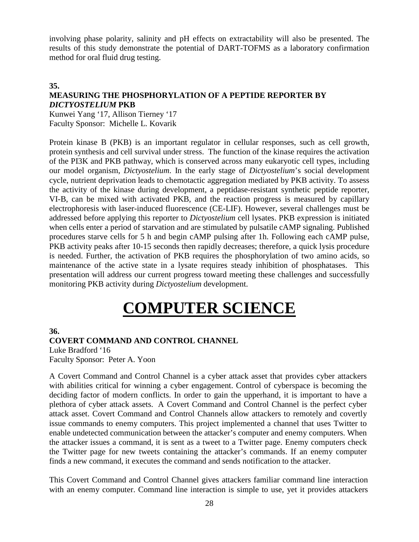involving phase polarity, salinity and pH effects on extractability will also be presented. The results of this study demonstrate the potential of DART-TOFMS as a laboratory confirmation method for oral fluid drug testing.

# **35. MEASURING THE PHOSPHORYLATION OF A PEPTIDE REPORTER BY** *DICTYOSTELIUM* **PKB**

Kunwei Yang '17, Allison Tierney '17 Faculty Sponsor: Michelle L. Kovarik

Protein kinase B (PKB) is an important regulator in cellular responses, such as cell growth, protein synthesis and cell survival under stress. The function of the kinase requires the activation of the PI3K and PKB pathway, which is conserved across many eukaryotic cell types, including our model organism, *Dictyostelium*. In the early stage of *Dictyostelium*'s social development cycle, nutrient deprivation leads to chemotactic aggregation mediated by PKB activity. To assess the activity of the kinase during development, a peptidase-resistant synthetic peptide reporter, VI-B, can be mixed with activated PKB, and the reaction progress is measured by capillary electrophoresis with laser-induced fluorescence (CE-LIF). However, several challenges must be addressed before applying this reporter to *Dictyostelium* cell lysates. PKB expression is initiated when cells enter a period of starvation and are stimulated by pulsatile cAMP signaling. Published procedures starve cells for 5 h and begin cAMP pulsing after 1h. Following each cAMP pulse, PKB activity peaks after 10-15 seconds then rapidly decreases; therefore, a quick lysis procedure is needed. Further, the activation of PKB requires the phosphorylation of two amino acids, so maintenance of the active state in a lysate requires steady inhibition of phosphatases. This presentation will address our current progress toward meeting these challenges and successfully monitoring PKB activity during *Dictyostelium* development.

# **COMPUTER SCIENCE**

# **36.**

# **COVERT COMMAND AND CONTROL CHANNEL**

Luke Bradford '16 Faculty Sponsor: Peter A. Yoon

A Covert Command and Control Channel is a cyber attack asset that provides cyber attackers with abilities critical for winning a cyber engagement. Control of cyberspace is becoming the deciding factor of modern conflicts. In order to gain the upperhand, it is important to have a plethora of cyber attack assets. A Covert Command and Control Channel is the perfect cyber attack asset. Covert Command and Control Channels allow attackers to remotely and covertly issue commands to enemy computers. This project implemented a channel that uses Twitter to enable undetected communication between the attacker's computer and enemy computers. When the attacker issues a command, it is sent as a tweet to a Twitter page. Enemy computers check the Twitter page for new tweets containing the attacker's commands. If an enemy computer finds a new command, it executes the command and sends notification to the attacker.

This Covert Command and Control Channel gives attackers familiar command line interaction with an enemy computer. Command line interaction is simple to use, yet it provides attackers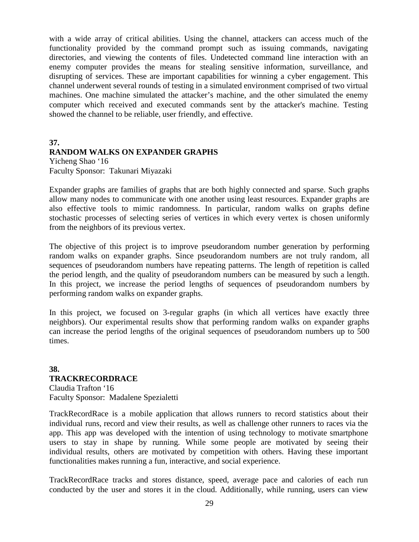with a wide array of critical abilities. Using the channel, attackers can access much of the functionality provided by the command prompt such as issuing commands, navigating directories, and viewing the contents of files. Undetected command line interaction with an enemy computer provides the means for stealing sensitive information, surveillance, and disrupting of services. These are important capabilities for winning a cyber engagement. This channel underwent several rounds of testing in a simulated environment comprised of two virtual machines. One machine simulated the attacker's machine, and the other simulated the enemy computer which received and executed commands sent by the attacker's machine. Testing showed the channel to be reliable, user friendly, and effective.

# **37. RANDOM WALKS ON EXPANDER GRAPHS**

Yicheng Shao '16 Faculty Sponsor: Takunari Miyazaki

Expander graphs are families of graphs that are both highly connected and sparse. Such graphs allow many nodes to communicate with one another using least resources. Expander graphs are also effective tools to mimic randomness. In particular, random walks on graphs define stochastic processes of selecting series of vertices in which every vertex is chosen uniformly from the neighbors of its previous vertex.

The objective of this project is to improve pseudorandom number generation by performing random walks on expander graphs. Since pseudorandom numbers are not truly random, all sequences of pseudorandom numbers have repeating patterns. The length of repetition is called the period length, and the quality of pseudorandom numbers can be measured by such a length. In this project, we increase the period lengths of sequences of pseudorandom numbers by performing random walks on expander graphs.

In this project, we focused on 3-regular graphs (in which all vertices have exactly three neighbors). Our experimental results show that performing random walks on expander graphs can increase the period lengths of the original sequences of pseudorandom numbers up to 500 times.

# **38. TRACKRECORDRACE**

Claudia Trafton '16 Faculty Sponsor: Madalene Spezialetti

TrackRecordRace is a mobile application that allows runners to record statistics about their individual runs, record and view their results, as well as challenge other runners to races via the app. This app was developed with the intention of using technology to motivate smartphone users to stay in shape by running. While some people are motivated by seeing their individual results, others are motivated by competition with others. Having these important functionalities makes running a fun, interactive, and social experience.

TrackRecordRace tracks and stores distance, speed, average pace and calories of each run conducted by the user and stores it in the cloud. Additionally, while running, users can view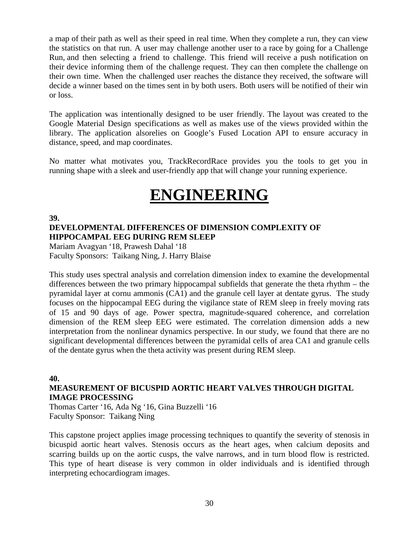a map of their path as well as their speed in real time. When they complete a run, they can view the statistics on that run. A user may challenge another user to a race by going for a Challenge Run, and then selecting a friend to challenge. This friend will receive a push notification on their device informing them of the challenge request. They can then complete the challenge on their own time. When the challenged user reaches the distance they received, the software will decide a winner based on the times sent in by both users. Both users will be notified of their win or loss.

The application was intentionally designed to be user friendly. The layout was created to the Google Material Design specifications as well as makes use of the views provided within the library. The application alsorelies on Google's Fused Location API to ensure accuracy in distance, speed, and map coordinates.

No matter what motivates you, TrackRecordRace provides you the tools to get you in running shape with a sleek and user-friendly app that will change your running experience.

# **ENGINEERING**

# **39. DEVELOPMENTAL DIFFERENCES OF DIMENSION COMPLEXITY OF HIPPOCAMPAL EEG DURING REM SLEEP**

Mariam Avagyan '18, Prawesh Dahal '18 Faculty Sponsors: Taikang Ning, J. Harry Blaise

This study uses spectral analysis and correlation dimension index to examine the developmental differences between the two primary hippocampal subfields that generate the theta rhythm – the pyramidal layer at cornu ammonis (CA1) and the granule cell layer at dentate gyrus. The study focuses on the hippocampal EEG during the vigilance state of REM sleep in freely moving rats of 15 and 90 days of age. Power spectra, magnitude-squared coherence, and correlation dimension of the REM sleep EEG were estimated. The correlation dimension adds a new interpretation from the nonlinear dynamics perspective. In our study, we found that there are no significant developmental differences between the pyramidal cells of area CA1 and granule cells of the dentate gyrus when the theta activity was present during REM sleep.

**40. MEASUREMENT OF BICUSPID AORTIC HEART VALVES THROUGH DIGITAL IMAGE PROCESSING**

Thomas Carter '16, Ada Ng '16, Gina Buzzelli '16 Faculty Sponsor: Taikang Ning

This capstone project applies image processing techniques to quantify the severity of stenosis in bicuspid aortic heart valves. Stenosis occurs as the heart ages, when calcium deposits and scarring builds up on the aortic cusps, the valve narrows, and in turn blood flow is restricted. This type of heart disease is very common in older individuals and is identified through interpreting echocardiogram images.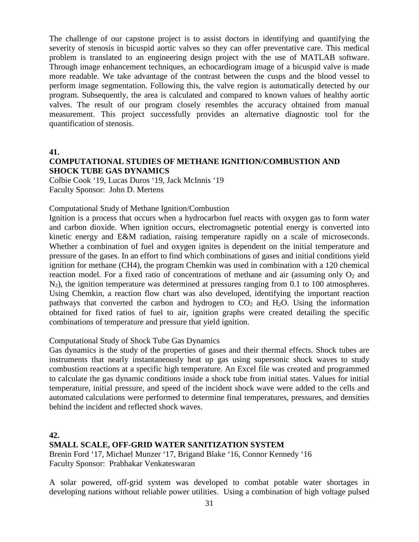The challenge of our capstone project is to assist doctors in identifying and quantifying the severity of stenosis in bicuspid aortic valves so they can offer preventative care. This medical problem is translated to an engineering design project with the use of MATLAB software. Through image enhancement techniques, an echocardiogram image of a bicuspid valve is made more readable. We take advantage of the contrast between the cusps and the blood vessel to perform image segmentation. Following this, the valve region is automatically detected by our program. Subsequently, the area is calculated and compared to known values of healthy aortic valves. The result of our program closely resembles the accuracy obtained from manual measurement. This project successfully provides an alternative diagnostic tool for the quantification of stenosis.

**41.**

# **COMPUTATIONAL STUDIES OF METHANE IGNITION/COMBUSTION AND SHOCK TUBE GAS DYNAMICS**

Colbie Cook '19, Lucas Duros '19, Jack McInnis '19 Faculty Sponsor: John D. Mertens

# Computational Study of Methane Ignition/Combustion

Ignition is a process that occurs when a hydrocarbon fuel reacts with oxygen gas to form water and carbon dioxide. When ignition occurs, electromagnetic potential energy is converted into kinetic energy and E&M radiation, raising temperature rapidly on a scale of microseconds. Whether a combination of fuel and oxygen ignites is dependent on the initial temperature and pressure of the gases. In an effort to find which combinations of gases and initial conditions yield ignition for methane (CH4), the program Chemkin was used in combination with a 120 chemical reaction model. For a fixed ratio of concentrations of methane and air (assuming only  $O_2$  and N<sub>2</sub>), the ignition temperature was determined at pressures ranging from 0.1 to 100 atmospheres. Using Chemkin, a reaction flow chart was also developed, identifying the important reaction pathways that converted the carbon and hydrogen to  $CO<sub>2</sub>$  and  $H<sub>2</sub>O$ . Using the information obtained for fixed ratios of fuel to air, ignition graphs were created detailing the specific combinations of temperature and pressure that yield ignition.

# Computational Study of Shock Tube Gas Dynamics

Gas dynamics is the study of the properties of gases and their thermal effects. Shock tubes are instruments that nearly instantaneously heat up gas using supersonic shock waves to study combustion reactions at a specific high temperature. An Excel file was created and programmed to calculate the gas dynamic conditions inside a shock tube from initial states. Values for initial temperature, initial pressure, and speed of the incident shock wave were added to the cells and automated calculations were performed to determine final temperatures, pressures, and densities behind the incident and reflected shock waves.

**42.**

# **SMALL SCALE, OFF-GRID WATER SANITIZATION SYSTEM**

Brenin Ford '17, Michael Munzer '17, Brigand Blake '16, Connor Kennedy '16 Faculty Sponsor: Prabhakar Venkateswaran

A solar powered, off-grid system was developed to combat potable water shortages in developing nations without reliable power utilities. Using a combination of high voltage pulsed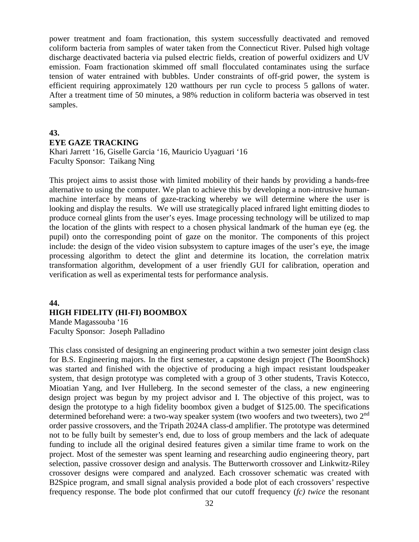power treatment and foam fractionation, this system successfully deactivated and removed coliform bacteria from samples of water taken from the Connecticut River. Pulsed high voltage discharge deactivated bacteria via pulsed electric fields, creation of powerful oxidizers and UV emission. Foam fractionation skimmed off small flocculated contaminates using the surface tension of water entrained with bubbles. Under constraints of off-grid power, the system is efficient requiring approximately 120 watthours per run cycle to process 5 gallons of water. After a treatment time of 50 minutes, a 98% reduction in coliform bacteria was observed in test samples.

# **43. EYE GAZE TRACKING**

Khari Jarrett '16, Giselle Garcia '16, Mauricio Uyaguari '16 Faculty Sponsor: Taikang Ning

This project aims to assist those with limited mobility of their hands by providing a hands-free alternative to using the computer. We plan to achieve this by developing a non-intrusive humanmachine interface by means of gaze-tracking whereby we will determine where the user is looking and display the results. We will use strategically placed infrared light emitting diodes to produce corneal glints from the user's eyes. Image processing technology will be utilized to map the location of the glints with respect to a chosen physical landmark of the human eye (eg. the pupil) onto the corresponding point of gaze on the monitor. The components of this project include: the design of the video vision subsystem to capture images of the user's eye, the image processing algorithm to detect the glint and determine its location, the correlation matrix transformation algorithm, development of a user friendly GUI for calibration, operation and verification as well as experimental tests for performance analysis.

# **44. HIGH FIDELITY (HI-FI) BOOMBOX**

Mande Magassouba '16 Faculty Sponsor: Joseph Palladino

This class consisted of designing an engineering product within a two semester joint design class for B.S. Engineering majors. In the first semester, a capstone design project (The BoomShock) was started and finished with the objective of producing a high impact resistant loudspeaker system, that design prototype was completed with a group of 3 other students, Travis Kotecco, Mioatian Yang, and Iver Hulleberg. In the second semester of the class, a new engineering design project was begun by my project advisor and I. The objective of this project, was to design the prototype to a high fidelity boombox given a budget of \$125.00. The specifications determined beforehand were: a two-way speaker system (two woofers and two tweeters), two 2<sup>nd</sup> order passive crossovers, and the Tripath 2024A class-d amplifier. The prototype was determined not to be fully built by semester's end, due to loss of group members and the lack of adequate funding to include all the original desired features given a similar time frame to work on the project. Most of the semester was spent learning and researching audio engineering theory, part selection, passive crossover design and analysis. The Butterworth crossover and Linkwitz-Riley crossover designs were compared and analyzed. Each crossover schematic was created with B2Spice program, and small signal analysis provided a bode plot of each crossovers' respective frequency response. The bode plot confirmed that our cutoff frequency (*fc) twice* the resonant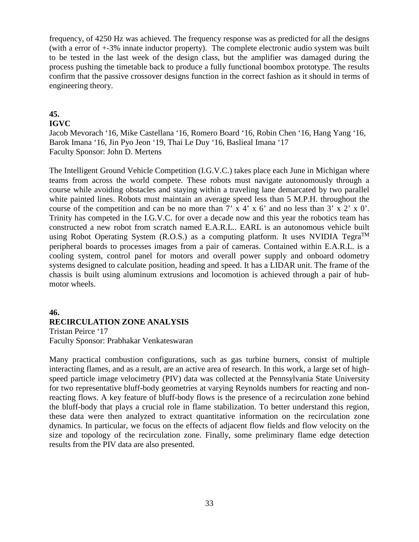frequency, of 4250 Hz was achieved. The frequency response was as predicted for all the designs (with a error of +-3% innate inductor property). The complete electronic audio system was built to be tested in the last week of the design class, but the amplifier was damaged during the process pushing the timetable back to produce a fully functional boombox prototype. The results confirm that the passive crossover designs function in the correct fashion as it should in terms of engineering theory.

# **45.**

# **IGVC**

Jacob Mevorach '16, Mike Castellana '16, Romero Board '16, Robin Chen '16, Hang Yang '16, Barok Imana '16, Jin Pyo Jeon '19, Thai Le Duy '16, Baslieal Imana '17 Faculty Sponsor: John D. Mertens

The Intelligent Ground Vehicle Competition (I.G.V.C.) takes place each June in Michigan where teams from across the world compete. These robots must navigate autonomously through a course while avoiding obstacles and staying within a traveling lane demarcated by two parallel white painted lines. Robots must maintain an average speed less than 5 M.P.H. throughout the course of the competition and can be no more than  $7' \times 4' \times 6'$  and no less than  $3' \times 2' \times 0'$ . Trinity has competed in the I.G.V.C. for over a decade now and this year the robotics team has constructed a new robot from scratch named E.A.R.L.. EARL is an autonomous vehicle built using Robot Operating System (R.O.S.) as a computing platform. It uses NVIDIA Tegra<sup>TM</sup> peripheral boards to processes images from a pair of cameras. Contained within E.A.R.L. is a cooling system, control panel for motors and overall power supply and onboard odometry systems designed to calculate position, heading and speed. It has a LIDAR unit. The frame of the chassis is built using aluminum extrusions and locomotion is achieved through a pair of hubmotor wheels.

# **46. RECIRCULATION ZONE ANALYSIS**

Tristan Peirce '17 Faculty Sponsor: Prabhakar Venkateswaran

Many practical combustion configurations, such as gas turbine burners, consist of multiple interacting flames, and as a result, are an active area of research. In this work, a large set of highspeed particle image velocimetry (PIV) data was collected at the Pennsylvania State University for two representative bluff-body geometries at varying Reynolds numbers for reacting and nonreacting flows. A key feature of bluff-body flows is the presence of a recirculation zone behind the bluff-body that plays a crucial role in flame stabilization. To better understand this region, these data were then analyzed to extract quantitative information on the recirculation zone dynamics. In particular, we focus on the effects of adjacent flow fields and flow velocity on the size and topology of the recirculation zone. Finally, some preliminary flame edge detection results from the PIV data are also presented.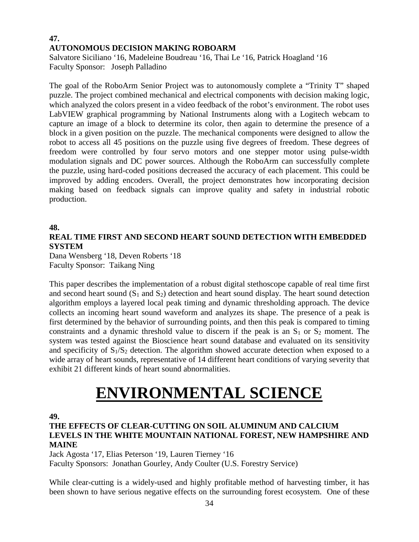# **47. AUTONOMOUS DECISION MAKING ROBOARM**

Salvatore Siciliano '16, Madeleine Boudreau '16, Thai Le '16, Patrick Hoagland '16 Faculty Sponsor: Joseph Palladino

The goal of the RoboArm Senior Project was to autonomously complete a "Trinity T" shaped puzzle. The project combined mechanical and electrical components with decision making logic, which analyzed the colors present in a video feedback of the robot's environment. The robot uses LabVIEW graphical programming by National Instruments along with a Logitech webcam to capture an image of a block to determine its color, then again to determine the presence of a block in a given position on the puzzle. The mechanical components were designed to allow the robot to access all 45 positions on the puzzle using five degrees of freedom. These degrees of freedom were controlled by four servo motors and one stepper motor using pulse-width modulation signals and DC power sources. Although the RoboArm can successfully complete the puzzle, using hard-coded positions decreased the accuracy of each placement. This could be improved by adding encoders. Overall, the project demonstrates how incorporating decision making based on feedback signals can improve quality and safety in industrial robotic production.

# **48.**

# **REAL TIME FIRST AND SECOND HEART SOUND DETECTION WITH EMBEDDED SYSTEM**

Dana Wensberg '18, Deven Roberts '18 Faculty Sponsor: Taikang Ning

This paper describes the implementation of a robust digital stethoscope capable of real time first and second heart sound  $(S_1 \text{ and } S_2)$  detection and heart sound display. The heart sound detection algorithm employs a layered local peak timing and dynamic thresholding approach. The device collects an incoming heart sound waveform and analyzes its shape. The presence of a peak is first determined by the behavior of surrounding points, and then this peak is compared to timing constraints and a dynamic threshold value to discern if the peak is an  $S_1$  or  $S_2$  moment. The system was tested against the Bioscience heart sound database and evaluated on its sensitivity and specificity of  $S_1/S_2$  detection. The algorithm showed accurate detection when exposed to a wide array of heart sounds, representative of 14 different heart conditions of varying severity that exhibit 21 different kinds of heart sound abnormalities.

# **ENVIRONMENTAL SCIENCE**

# **49.**

# **THE EFFECTS OF CLEAR-CUTTING ON SOIL ALUMINUM AND CALCIUM LEVELS IN THE WHITE MOUNTAIN NATIONAL FOREST, NEW HAMPSHIRE AND MAINE**

Jack Agosta '17, Elias Peterson '19, Lauren Tierney '16 Faculty Sponsors: Jonathan Gourley, Andy Coulter (U.S. Forestry Service)

While clear-cutting is a widely-used and highly profitable method of harvesting timber, it has been shown to have serious negative effects on the surrounding forest ecosystem. One of these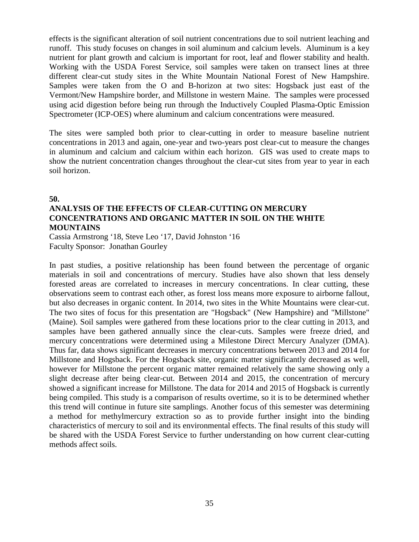effects is the significant alteration of soil nutrient concentrations due to soil nutrient leaching and runoff. This study focuses on changes in soil aluminum and calcium levels. Aluminum is a key nutrient for plant growth and calcium is important for root, leaf and flower stability and health. Working with the USDA Forest Service, soil samples were taken on transect lines at three different clear-cut study sites in the White Mountain National Forest of New Hampshire. Samples were taken from the O and B-horizon at two sites: Hogsback just east of the Vermont/New Hampshire border, and Millstone in western Maine. The samples were processed using acid digestion before being run through the Inductively Coupled Plasma-Optic Emission Spectrometer (ICP-OES) where aluminum and calcium concentrations were measured.

The sites were sampled both prior to clear-cutting in order to measure baseline nutrient concentrations in 2013 and again, one-year and two-years post clear-cut to measure the changes in aluminum and calcium and calcium within each horizon. GIS was used to create maps to show the nutrient concentration changes throughout the clear-cut sites from year to year in each soil horizon.

**50.**

# **ANALYSIS OF THE EFFECTS OF CLEAR-CUTTING ON MERCURY CONCENTRATIONS AND ORGANIC MATTER IN SOIL ON THE WHITE MOUNTAINS**

Cassia Armstrong '18, Steve Leo '17, David Johnston '16 Faculty Sponsor: Jonathan Gourley

In past studies, a positive relationship has been found between the percentage of organic materials in soil and concentrations of mercury. Studies have also shown that less densely forested areas are correlated to increases in mercury concentrations. In clear cutting, these observations seem to contrast each other, as forest loss means more exposure to airborne fallout, but also decreases in organic content. In 2014, two sites in the White Mountains were clear-cut. The two sites of focus for this presentation are "Hogsback" (New Hampshire) and "Millstone" (Maine). Soil samples were gathered from these locations prior to the clear cutting in 2013, and samples have been gathered annually since the clear-cuts. Samples were freeze dried, and mercury concentrations were determined using a Milestone Direct Mercury Analyzer (DMA). Thus far, data shows significant decreases in mercury concentrations between 2013 and 2014 for Millstone and Hogsback. For the Hogsback site, organic matter significantly decreased as well, however for Millstone the percent organic matter remained relatively the same showing only a slight decrease after being clear-cut. Between 2014 and 2015, the concentration of mercury showed a significant increase for Millstone. The data for 2014 and 2015 of Hogsback is currently being compiled. This study is a comparison of results overtime, so it is to be determined whether this trend will continue in future site samplings. Another focus of this semester was determining a method for methylmercury extraction so as to provide further insight into the binding characteristics of mercury to soil and its environmental effects. The final results of this study will be shared with the USDA Forest Service to further understanding on how current clear-cutting methods affect soils.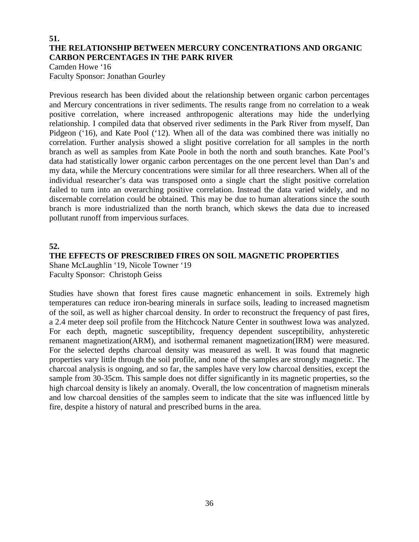# **51. THE RELATIONSHIP BETWEEN MERCURY CONCENTRATIONS AND ORGANIC CARBON PERCENTAGES IN THE PARK RIVER**

Camden Howe '16 Faculty Sponsor: Jonathan Gourley

Previous research has been divided about the relationship between organic carbon percentages and Mercury concentrations in river sediments. The results range from no correlation to a weak positive correlation, where increased anthropogenic alterations may hide the underlying relationship. I compiled data that observed river sediments in the Park River from myself, Dan Pidgeon ('16), and Kate Pool ('12). When all of the data was combined there was initially no correlation. Further analysis showed a slight positive correlation for all samples in the north branch as well as samples from Kate Poole in both the north and south branches. Kate Pool's data had statistically lower organic carbon percentages on the one percent level than Dan's and my data, while the Mercury concentrations were similar for all three researchers. When all of the individual researcher's data was transposed onto a single chart the slight positive correlation failed to turn into an overarching positive correlation. Instead the data varied widely, and no discernable correlation could be obtained. This may be due to human alterations since the south branch is more industrialized than the north branch, which skews the data due to increased pollutant runoff from impervious surfaces.

# **52.**

# **THE EFFECTS OF PRESCRIBED FIRES ON SOIL MAGNETIC PROPERTIES**

Shane McLaughlin '19, Nicole Towner '19 Faculty Sponsor: Christoph Geiss

Studies have shown that forest fires cause magnetic enhancement in soils. Extremely high temperatures can reduce iron-bearing minerals in surface soils, leading to increased magnetism of the soil, as well as higher charcoal density. In order to reconstruct the frequency of past fires, a 2.4 meter deep soil profile from the Hitchcock Nature Center in southwest Iowa was analyzed. For each depth, magnetic susceptibility, frequency dependent susceptibility, anhysteretic remanent magnetization(ARM), and isothermal remanent magnetization(IRM) were measured. For the selected depths charcoal density was measured as well. It was found that magnetic properties vary little through the soil profile, and none of the samples are strongly magnetic. The charcoal analysis is ongoing, and so far, the samples have very low charcoal densities, except the sample from 30-35cm. This sample does not differ significantly in its magnetic properties, so the high charcoal density is likely an anomaly. Overall, the low concentration of magnetism minerals and low charcoal densities of the samples seem to indicate that the site was influenced little by fire, despite a history of natural and prescribed burns in the area.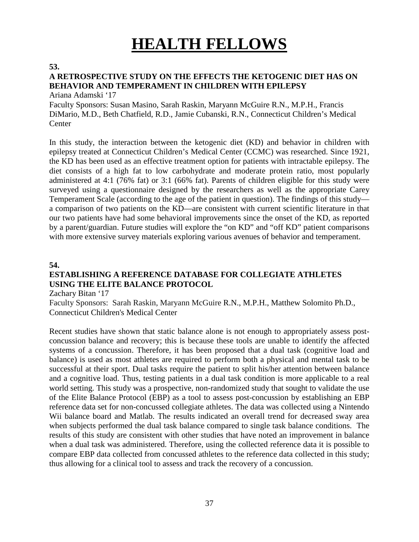# **HEALTH FELLOWS**

**53.**

# **A RETROSPECTIVE STUDY ON THE EFFECTS THE KETOGENIC DIET HAS ON BEHAVIOR AND TEMPERAMENT IN CHILDREN WITH EPILEPSY**

Ariana Adamski '17

Faculty Sponsors: Susan Masino, Sarah Raskin, Maryann McGuire R.N., M.P.H., Francis DiMario, M.D., Beth Chatfield, R.D., Jamie Cubanski, R.N., Connecticut Children's Medical **Center** 

In this study, the interaction between the ketogenic diet (KD) and behavior in children with epilepsy treated at Connecticut Children's Medical Center (CCMC) was researched. Since 1921, the KD has been used as an effective treatment option for patients with intractable epilepsy. The diet consists of a high fat to low carbohydrate and moderate protein ratio, most popularly administered at 4:1 (76% fat) or 3:1 (66% fat). Parents of children eligible for this study were surveyed using a questionnaire designed by the researchers as well as the appropriate Carey Temperament Scale (according to the age of the patient in question). The findings of this study a comparison of two patients on the KD—are consistent with current scientific literature in that our two patients have had some behavioral improvements since the onset of the KD, as reported by a parent/guardian. Future studies will explore the "on KD" and "off KD" patient comparisons with more extensive survey materials exploring various avenues of behavior and temperament.

# **54.**

# **ESTABLISHING A REFERENCE DATABASE FOR COLLEGIATE ATHLETES USING THE ELITE BALANCE PROTOCOL**

Zachary Bitan '17

Faculty Sponsors: Sarah Raskin, Maryann McGuire R.N., M.P.H., Matthew Solomito Ph.D., Connecticut Children's Medical Center

Recent studies have shown that static balance alone is not enough to appropriately assess postconcussion balance and recovery; this is because these tools are unable to identify the affected systems of a concussion. Therefore, it has been proposed that a dual task (cognitive load and balance) is used as most athletes are required to perform both a physical and mental task to be successful at their sport. Dual tasks require the patient to split his/her attention between balance and a cognitive load. Thus, testing patients in a dual task condition is more applicable to a real world setting. This study was a prospective, non-randomized study that sought to validate the use of the Elite Balance Protocol (EBP) as a tool to assess post-concussion by establishing an EBP reference data set for non-concussed collegiate athletes. The data was collected using a Nintendo Wii balance board and Matlab. The results indicated an overall trend for decreased sway area when subjects performed the dual task balance compared to single task balance conditions. The results of this study are consistent with other studies that have noted an improvement in balance when a dual task was administered. Therefore, using the collected reference data it is possible to compare EBP data collected from concussed athletes to the reference data collected in this study; thus allowing for a clinical tool to assess and track the recovery of a concussion.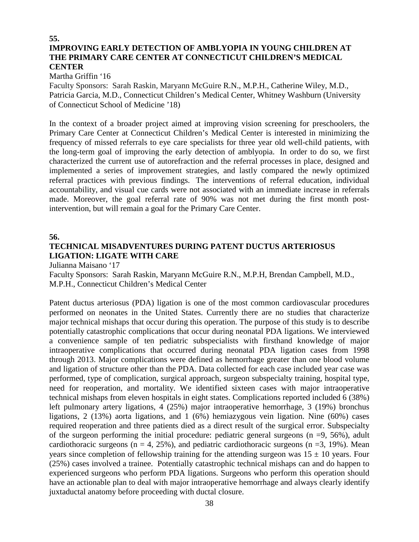# **55. IMPROVING EARLY DETECTION OF AMBLYOPIA IN YOUNG CHILDREN AT THE PRIMARY CARE CENTER AT CONNECTICUT CHILDREN'S MEDICAL CENTER**

Martha Griffin '16

Faculty Sponsors: Sarah Raskin, Maryann McGuire R.N., M.P.H., Catherine Wiley, M.D., Patricia Garcia, M.D., Connecticut Children's Medical Center, Whitney Washburn (University of Connecticut School of Medicine '18)

In the context of a broader project aimed at improving vision screening for preschoolers, the Primary Care Center at Connecticut Children's Medical Center is interested in minimizing the frequency of missed referrals to eye care specialists for three year old well-child patients, with the long-term goal of improving the early detection of amblyopia. In order to do so, we first characterized the current use of autorefraction and the referral processes in place, designed and implemented a series of improvement strategies, and lastly compared the newly optimized referral practices with previous findings. The interventions of referral education, individual accountability, and visual cue cards were not associated with an immediate increase in referrals made. Moreover, the goal referral rate of 90% was not met during the first month postintervention, but will remain a goal for the Primary Care Center.

**56.**

# **TECHNICAL MISADVENTURES DURING PATENT DUCTUS ARTERIOSUS LIGATION: LIGATE WITH CARE**

Julianna Maisano '17

Faculty Sponsors: Sarah Raskin, Maryann McGuire R.N., M.P.H, Brendan Campbell, M.D., M.P.H., Connecticut Children's Medical Center

Patent ductus arteriosus (PDA) ligation is one of the most common cardiovascular procedures performed on neonates in the United States. Currently there are no studies that characterize major technical mishaps that occur during this operation. The purpose of this study is to describe potentially catastrophic complications that occur during neonatal PDA ligations. We interviewed a convenience sample of ten pediatric subspecialists with firsthand knowledge of major intraoperative complications that occurred during neonatal PDA ligation cases from 1998 through 2013. Major complications were defined as hemorrhage greater than one blood volume and ligation of structure other than the PDA. Data collected for each case included year case was performed, type of complication, surgical approach, surgeon subspecialty training, hospital type, need for reoperation, and mortality. We identified sixteen cases with major intraoperative technical mishaps from eleven hospitals in eight states. Complications reported included 6 (38%) left pulmonary artery ligations, 4 (25%) major intraoperative hemorrhage, 3 (19%) bronchus ligations, 2 (13%) aorta ligations, and 1 (6%) hemiazygous vein ligation. Nine (60%) cases required reoperation and three patients died as a direct result of the surgical error. Subspecialty of the surgeon performing the initial procedure: pediatric general surgeons  $(n = 9, 56\%)$ , adult cardiothoracic surgeons ( $n = 4$ , 25%), and pediatric cardiothoracic surgeons ( $n = 3$ , 19%). Mean years since completion of fellowship training for the attending surgeon was  $15 \pm 10$  years. Four (25%) cases involved a trainee. Potentially catastrophic technical mishaps can and do happen to experienced surgeons who perform PDA ligations. Surgeons who perform this operation should have an actionable plan to deal with major intraoperative hemorrhage and always clearly identify juxtaductal anatomy before proceeding with ductal closure.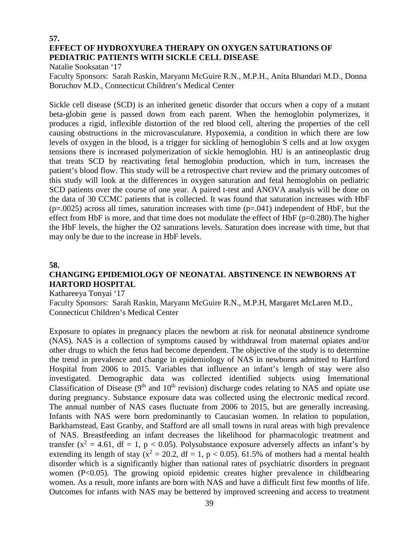# **57. EFFECT OF HYDROXYUREA THERAPY ON OXYGEN SATURATIONS OF PEDIATRIC PATIENTS WITH SICKLE CELL DISEASE**

Natalie Sooksatan '17

Faculty Sponsors: Sarah Raskin, Maryann McGuire R.N., M.P.H., Anita Bhandari M.D., Donna Boruchov M.D., Connecticut Children's Medical Center

Sickle cell disease (SCD) is an inherited genetic disorder that occurs when a copy of a mutant beta-globin gene is passed down from each parent. When the hemoglobin polymerizes, it produces a rigid, inflexible distortion of the red blood cell, altering the properties of the cell causing obstructions in the microvasculature. Hypoxemia, a condition in which there are low levels of oxygen in the blood, is a trigger for sickling of hemoglobin S cells and at low oxygen tensions there is increased polymerization of sickle hemoglobin. HU is an antineoplastic drug that treats SCD by reactivating fetal hemoglobin production, which in turn, increases the patient's blood flow. This study will be a retrospective chart review and the primary outcomes of this study will look at the differences in oxygen saturation and fetal hemoglobin on pediatric SCD patients over the course of one year. A paired t-test and ANOVA analysis will be done on the data of 30 CCMC patients that is collected. It was found that saturation increases with HbF  $(p=0.0025)$  across all times, saturation increases with time  $(p=0.041)$  independent of HbF, but the effect from HbF is more, and that time does not modulate the effect of HbF ( $p=0.280$ ). The higher the HbF levels, the higher the O2 saturations levels. Saturation does increase with time, but that may only be due to the increase in HbF levels.

#### **58.**

# **CHANGING EPIDEMIOLOGY OF NEONATAL ABSTINENCE IN NEWBORNS AT HARTORD HOSPITAL**

Kathareeya Tonyai '17

Faculty Sponsors: Sarah Raskin, Maryann McGuire R.N., M.P.H, Margaret McLaren M.D., Connecticut Children's Medical Center

Exposure to opiates in pregnancy places the newborn at risk for neonatal abstinence syndrome (NAS). NAS is a collection of symptoms caused by withdrawal from maternal opiates and/or other drugs to which the fetus had become dependent. The objective of the study is to determine the trend in prevalence and change in epidemiology of NAS in newborns admitted to Hartford Hospital from 2006 to 2015. Variables that influence an infant's length of stay were also investigated. Demographic data was collected identified subjects using International Classification of Disease  $(9<sup>th</sup>$  and  $10<sup>th</sup>$  revision) discharge codes relating to NAS and opiate use during pregnancy. Substance exposure data was collected using the electronic medical record. The annual number of NAS cases fluctuate from 2006 to 2015, but are generally increasing. Infants with NAS were born predominantly to Caucasian women. In relation to population, Barkhamstead, East Granby, and Stafford are all small towns in rural areas with high prevalence of NAS. Breastfeeding an infant decreases the likelihood for pharmacologic treatment and transfer  $(x^2 = 4.61$ ,  $df = 1$ ,  $p < 0.05$ ). Polysubstance exposure adversely affects an infant's by extending its length of stay  $(x^2 = 20.2$ ,  $df = 1$ ,  $p < 0.05$ ). 61.5% of mothers had a mental health disorder which is a significantly higher than national rates of psychiatric disorders in pregnant women (P<0.05). The growing opioid epidemic creates higher prevalence in childbearing women. As a result, more infants are born with NAS and have a difficult first few months of life. Outcomes for infants with NAS may be bettered by improved screening and access to treatment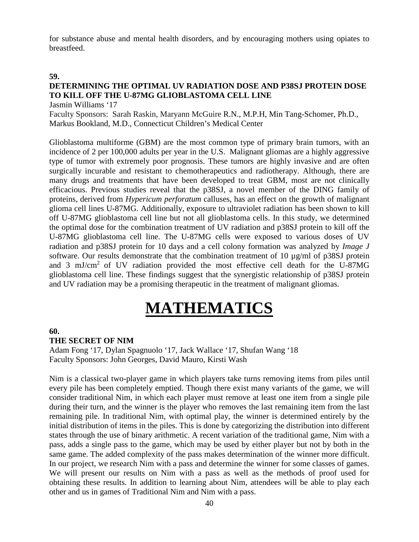for substance abuse and mental health disorders, and by encouraging mothers using opiates to breastfeed.

#### **59.**

# **DETERMINING THE OPTIMAL UV RADIATION DOSE AND P38SJ PROTEIN DOSE TO KILL OFF THE U-87MG GLIOBLASTOMA CELL LINE**

Jasmin Williams '17

Faculty Sponsors: Sarah Raskin, Maryann McGuire R.N., M.P.H, Min Tang-Schomer, Ph.D., Markus Bookland, M.D., Connecticut Children's Medical Center

Glioblastoma multiforme (GBM) are the most common type of primary brain tumors, with an incidence of 2 per 100,000 adults per year in the U.S. Malignant gliomas are a highly aggressive type of tumor with extremely poor prognosis. These tumors are highly invasive and are often surgically incurable and resistant to chemotherapeutics and radiotherapy. Although, there are many drugs and treatments that have been developed to treat GBM, most are not clinically efficacious. Previous studies reveal that the p38SJ, a novel member of the DING family of proteins, derived from *Hypericum perforatum* calluses, has an effect on the growth of malignant glioma cell lines U-87MG. Additionally, exposure to ultraviolet radiation has been shown to kill off U-87MG glioblastoma cell line but not all glioblastoma cells. In this study, we determined the optimal dose for the combination treatment of UV radiation and p38SJ protein to kill off the U-87MG glioblastoma cell line. The U-87MG cells were exposed to various doses of UV radiation and p38SJ protein for 10 days and a cell colony formation was analyzed by *Image J* software. Our results demonstrate that the combination treatment of 10 µg/ml of p38SJ protein and 3 mJ/cm2 of UV radiation provided the most effective cell death for the U-87MG glioblastoma cell line. These findings suggest that the synergistic relationship of p38SJ protein and UV radiation may be a promising therapeutic in the treatment of malignant gliomas.

# **MATHEMATICS**

# **60.**

#### **THE SECRET OF NIM**

Adam Fong '17, Dylan Spagnuolo '17, Jack Wallace '17, Shufan Wang '18 Faculty Sponsors: John Georges, David Mauro, Kirsti Wash

Nim is a classical two-player game in which players take turns removing items from piles until every pile has been completely emptied. Though there exist many variants of the game, we will consider traditional Nim, in which each player must remove at least one item from a single pile during their turn, and the winner is the player who removes the last remaining item from the last remaining pile. In traditional Nim, with optimal play, the winner is determined entirely by the initial distribution of items in the piles. This is done by categorizing the distribution into different states through the use of binary arithmetic. A recent variation of the traditional game, Nim with a pass, adds a single pass to the game, which may be used by either player but not by both in the same game. The added complexity of the pass makes determination of the winner more difficult. In our project, we research Nim with a pass and determine the winner for some classes of games. We will present our results on Nim with a pass as well as the methods of proof used for obtaining these results. In addition to learning about Nim, attendees will be able to play each other and us in games of Traditional Nim and Nim with a pass.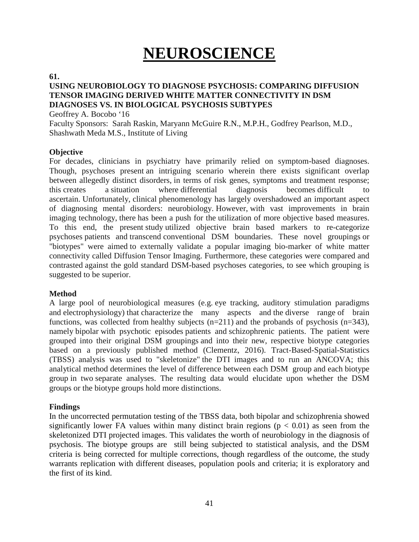# **NEUROSCIENCE**

#### **61.**

# **USING NEUROBIOLOGY TO DIAGNOSE PSYCHOSIS: COMPARING DIFFUSION TENSOR IMAGING DERIVED WHITE MATTER CONNECTIVITY IN DSM DIAGNOSES VS. IN BIOLOGICAL PSYCHOSIS SUBTYPES**

Geoffrey A. Bocobo '16

Faculty Sponsors: Sarah Raskin, Maryann McGuire R.N., M.P.H., Godfrey Pearlson, M.D., Shashwath Meda M.S., Institute of Living

# **Objective**

For decades, clinicians in psychiatry have primarily relied on symptom-based diagnoses. Though, psychoses present an intriguing scenario wherein there exists significant overlap between allegedly distinct disorders, in terms of risk genes, symptoms and treatment response; this creates a situation where differential diagnosis becomes difficult to ascertain. Unfortunately, clinical phenomenology has largely overshadowed an important aspect of diagnosing mental disorders: neurobiology. However, with vast improvements in brain imaging technology, there has been a push for the utilization of more objective based measures. To this end, the present study utilized objective brain based markers to re-categorize psychoses patients and transcend conventional DSM boundaries. These novel groupings or "biotypes" were aimed to externally validate a popular imaging bio-marker of white matter connectivity called Diffusion Tensor Imaging. Furthermore, these categories were compared and contrasted against the gold standard DSM-based psychoses categories, to see which grouping is suggested to be superior.

# **Method**

A large pool of neurobiological measures (e.g. eye tracking, auditory stimulation paradigms and electrophysiology) that characterize the many aspects and the diverse range of brain functions, was collected from healthy subjects  $(n=211)$  and the probands of psychosis  $(n=343)$ , namely bipolar with psychotic episodes patients and schizophrenic patients. The patient were grouped into their original DSM groupings and into their new, respective biotype categories based on a previously published method (Clementz, 2016). Tract-Based-Spatial-Statistics (TBSS) analysis was used to "skeletonize" the DTI images and to run an ANCOVA; this analytical method determines the level of difference between each DSM group and each biotype group in two separate analyses. The resulting data would elucidate upon whether the DSM groups or the biotype groups hold more distinctions.

# **Findings**

In the uncorrected permutation testing of the TBSS data, both bipolar and schizophrenia showed significantly lower FA values within many distinct brain regions ( $p < 0.01$ ) as seen from the skeletonized DTI projected images. This validates the worth of neurobiology in the diagnosis of psychosis. The biotype groups are still being subjected to statistical analysis, and the DSM criteria is being corrected for multiple corrections, though regardless of the outcome, the study warrants replication with different diseases, population pools and criteria; it is exploratory and the first of its kind.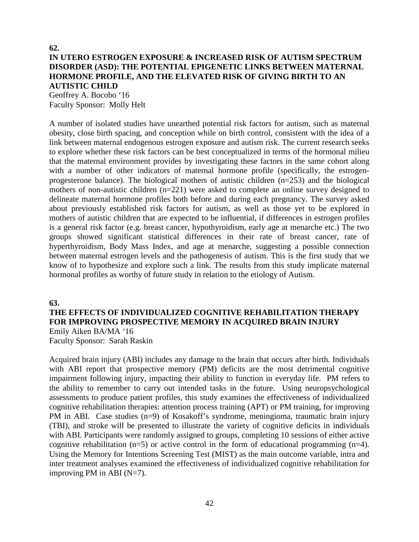# **62. IN UTERO ESTROGEN EXPOSURE & INCREASED RISK OF AUTISM SPECTRUM DISORDER (ASD): THE POTENTIAL EPIGENETIC LINKS BETWEEN MATERNAL HORMONE PROFILE, AND THE ELEVATED RISK OF GIVING BIRTH TO AN AUTISTIC CHILD**

Geoffrey A. Bocobo '16 Faculty Sponsor: Molly Helt

A number of isolated studies have unearthed potential risk factors for autism, such as maternal obesity, close birth spacing, and conception while on birth control, consistent with the idea of a link between maternal endogenous estrogen exposure and autism risk. The current research seeks to explore whether these risk factors can be best conceptualized in terms of the hormonal milieu that the maternal environment provides by investigating these factors in the same cohort along with a number of other indicators of maternal hormone profile (specifically, the estrogenprogesterone balance). The biological mothers of autistic children (n=253) and the biological mothers of non-autistic children (n=221) were asked to complete an online survey designed to delineate maternal hormone profiles both before and during each pregnancy. The survey asked about previously established risk factors for autism, as well as those yet to be explored in mothers of autistic children that are expected to be influential, if differences in estrogen profiles is a general risk factor (e.g. breast cancer, hypothyroidism, early age at menarche etc.) The two groups showed significant statistical differences in their rate of breast cancer, rate of hyperthyroidism, Body Mass Index, and age at menarche, suggesting a possible connection between maternal estrogen levels and the pathogenesis of autism. This is the first study that we know of to hypothesize and explore such a link. The results from this study implicate maternal hormonal profiles as worthy of future study in relation to the etiology of Autism.

#### **63.**

# **THE EFFECTS OF INDIVIDUALIZED COGNITIVE REHABILITATION THERAPY FOR IMPROVING PROSPECTIVE MEMORY IN ACQUIRED BRAIN INJURY**  Emily Aiken BA/MA '16

Faculty Sponsor: Sarah Raskin

Acquired brain injury (ABI) includes any damage to the brain that occurs after birth. Individuals with ABI report that prospective memory (PM) deficits are the most detrimental cognitive impairment following injury, impacting their ability to function in everyday life. PM refers to the ability to remember to carry out intended tasks in the future. Using neuropsychological assessments to produce patient profiles, this study examines the effectiveness of individualized cognitive rehabilitation therapies: attention process training (APT) or PM training, for improving PM in ABI. Case studies (n=9) of Kosakoff's syndrome, meningioma, traumatic brain injury (TBI), and stroke will be presented to illustrate the variety of cognitive deficits in individuals with ABI. Participants were randomly assigned to groups, completing 10 sessions of either active cognitive rehabilitation (n=5) or active control in the form of educational programming (n=4). Using the Memory for Intentions Screening Test (MIST) as the main outcome variable, intra and inter treatment analyses examined the effectiveness of individualized cognitive rehabilitation for improving PM in ABI  $(N=7)$ .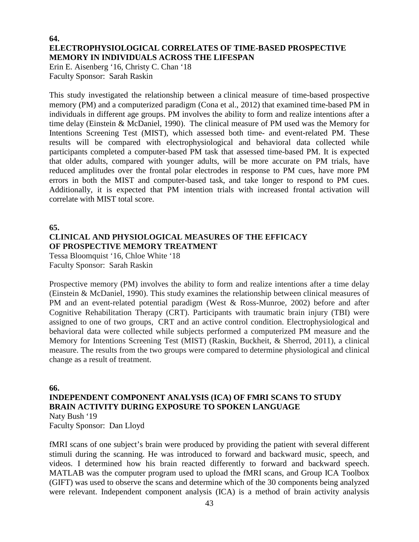# **64. ELECTROPHYSIOLOGICAL CORRELATES OF TIME-BASED PROSPECTIVE MEMORY IN INDIVIDUALS ACROSS THE LIFESPAN**

Erin E. Aisenberg '16, Christy C. Chan '18 Faculty Sponsor: Sarah Raskin

This study investigated the relationship between a clinical measure of time-based prospective memory (PM) and a computerized paradigm (Cona et al., 2012) that examined time-based PM in individuals in different age groups. PM involves the ability to form and realize intentions after a time delay (Einstein & McDaniel, 1990). The clinical measure of PM used was the Memory for Intentions Screening Test (MIST), which assessed both time- and event-related PM. These results will be compared with electrophysiological and behavioral data collected while participants completed a computer-based PM task that assessed time-based PM. It is expected that older adults, compared with younger adults, will be more accurate on PM trials, have reduced amplitudes over the frontal polar electrodes in response to PM cues, have more PM errors in both the MIST and computer-based task, and take longer to respond to PM cues. Additionally, it is expected that PM intention trials with increased frontal activation will correlate with MIST total score.

**65.**

# **CLINICAL AND PHYSIOLOGICAL MEASURES OF THE EFFICACY OF PROSPECTIVE MEMORY TREATMENT**

Tessa Bloomquist '16, Chloe White '18 Faculty Sponsor: Sarah Raskin

Prospective memory (PM) involves the ability to form and realize intentions after a time delay (Einstein & McDaniel, 1990). This study examines the relationship between clinical measures of PM and an event-related potential paradigm (West & Ross-Munroe, 2002) before and after Cognitive Rehabilitation Therapy (CRT). Participants with traumatic brain injury (TBI) were assigned to one of two groups, CRT and an active control condition. Electrophysiological and behavioral data were collected while subjects performed a computerized PM measure and the Memory for Intentions Screening Test (MIST) (Raskin, Buckheit, & Sherrod, 2011), a clinical measure. The results from the two groups were compared to determine physiological and clinical change as a result of treatment.

**66.**

# **INDEPENDENT COMPONENT ANALYSIS (ICA) OF FMRI SCANS TO STUDY BRAIN ACTIVITY DURING EXPOSURE TO SPOKEN LANGUAGE** Naty Bush '19

Faculty Sponsor: Dan Lloyd

fMRI scans of one subject's brain were produced by providing the patient with several different stimuli during the scanning. He was introduced to forward and backward music, speech, and videos. I determined how his brain reacted differently to forward and backward speech. MATLAB was the computer program used to upload the fMRI scans, and Group ICA Toolbox (GIFT) was used to observe the scans and determine which of the 30 components being analyzed were relevant. Independent component analysis (ICA) is a method of brain activity analysis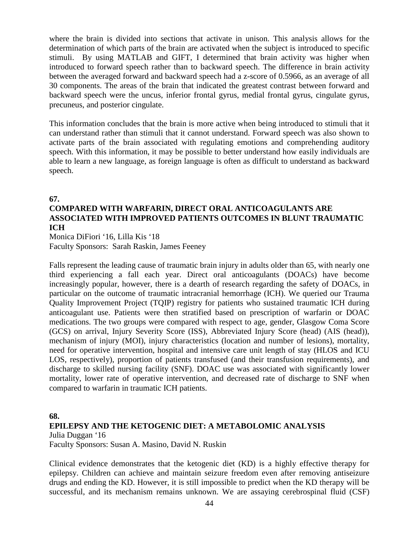where the brain is divided into sections that activate in unison. This analysis allows for the determination of which parts of the brain are activated when the subject is introduced to specific stimuli. By using MATLAB and GIFT, I determined that brain activity was higher when introduced to forward speech rather than to backward speech. The difference in brain activity between the averaged forward and backward speech had a z-score of 0.5966, as an average of all 30 components. The areas of the brain that indicated the greatest contrast between forward and backward speech were the uncus, inferior frontal gyrus, medial frontal gyrus, cingulate gyrus, precuneus, and posterior cingulate.

This information concludes that the brain is more active when being introduced to stimuli that it can understand rather than stimuli that it cannot understand. Forward speech was also shown to activate parts of the brain associated with regulating emotions and comprehending auditory speech. With this information, it may be possible to better understand how easily individuals are able to learn a new language, as foreign language is often as difficult to understand as backward speech.

#### **67.**

# **COMPARED WITH WARFARIN, DIRECT ORAL ANTICOAGULANTS ARE ASSOCIATED WITH IMPROVED PATIENTS OUTCOMES IN BLUNT TRAUMATIC ICH**

Monica DiFiori '16, Lilla Kis '18 Faculty Sponsors: Sarah Raskin, James Feeney

Falls represent the leading cause of traumatic brain injury in adults older than 65, with nearly one third experiencing a fall each year. Direct oral anticoagulants (DOACs) have become increasingly popular, however, there is a dearth of research regarding the safety of DOACs, in particular on the outcome of traumatic intracranial hemorrhage (ICH). We queried our Trauma Quality Improvement Project (TQIP) registry for patients who sustained traumatic ICH during anticoagulant use. Patients were then stratified based on prescription of warfarin or DOAC medications. The two groups were compared with respect to age, gender, Glasgow Coma Score (GCS) on arrival, Injury Severity Score (ISS), Abbreviated Injury Score (head) (AIS (head)), mechanism of injury (MOI), injury characteristics (location and number of lesions), mortality, need for operative intervention, hospital and intensive care unit length of stay (HLOS and ICU LOS, respectively), proportion of patients transfused (and their transfusion requirements), and discharge to skilled nursing facility (SNF). DOAC use was associated with significantly lower mortality, lower rate of operative intervention, and decreased rate of discharge to SNF when compared to warfarin in traumatic ICH patients.

# **68.**

# **EPILEPSY AND THE KETOGENIC DIET: A METABOLOMIC ANALYSIS**

Julia Duggan '16

Faculty Sponsors: Susan A. Masino, David N. Ruskin

Clinical evidence demonstrates that the ketogenic diet (KD) is a highly effective therapy for epilepsy. Children can achieve and maintain seizure freedom even after removing antiseizure drugs and ending the KD. However, it is still impossible to predict when the KD therapy will be successful, and its mechanism remains unknown. We are assaying cerebrospinal fluid (CSF)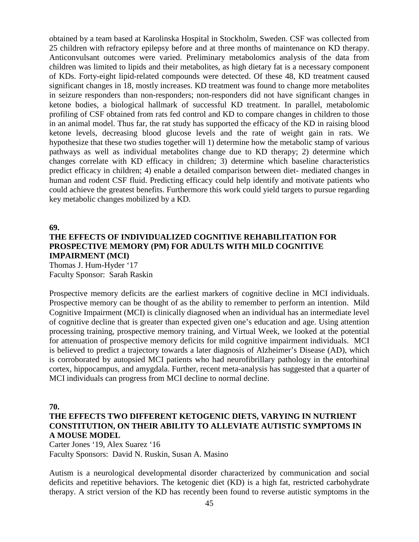obtained by a team based at Karolinska Hospital in Stockholm, Sweden. CSF was collected from 25 children with refractory epilepsy before and at three months of maintenance on KD therapy. Anticonvulsant outcomes were varied. Preliminary metabolomics analysis of the data from children was limited to lipids and their metabolites, as high dietary fat is a necessary component of KDs. Forty-eight lipid-related compounds were detected. Of these 48, KD treatment caused significant changes in 18, mostly increases. KD treatment was found to change more metabolites in seizure responders than non-responders; non-responders did not have significant changes in ketone bodies, a biological hallmark of successful KD treatment. In parallel, metabolomic profiling of CSF obtained from rats fed control and KD to compare changes in children to those in an animal model. Thus far, the rat study has supported the efficacy of the KD in raising blood ketone levels, decreasing blood glucose levels and the rate of weight gain in rats. We hypothesize that these two studies together will 1) determine how the metabolic stamp of various pathways as well as individual metabolites change due to KD therapy; 2) determine which changes correlate with KD efficacy in children; 3) determine which baseline characteristics predict efficacy in children; 4) enable a detailed comparison between diet- mediated changes in human and rodent CSF fluid. Predicting efficacy could help identify and motivate patients who could achieve the greatest benefits. Furthermore this work could yield targets to pursue regarding key metabolic changes mobilized by a KD.

**69.**

# **THE EFFECTS OF INDIVIDUALIZED COGNITIVE REHABILITATION FOR PROSPECTIVE MEMORY (PM) FOR ADULTS WITH MILD COGNITIVE IMPAIRMENT (MCI)**

Thomas J. Hum-Hyder '17 Faculty Sponsor: Sarah Raskin

Prospective memory deficits are the earliest markers of cognitive decline in MCI individuals. Prospective memory can be thought of as the ability to remember to perform an intention. Mild Cognitive Impairment (MCI) is clinically diagnosed when an individual has an intermediate level of cognitive decline that is greater than expected given one's education and age. Using attention processing training, prospective memory training, and Virtual Week, we looked at the potential for attenuation of prospective memory deficits for mild cognitive impairment individuals. MCI is believed to predict a trajectory towards a later diagnosis of Alzheimer's Disease (AD), which is corroborated by autopsied MCI patients who had neurofibrillary pathology in the entorhinal cortex, hippocampus, and amygdala. Further, recent meta-analysis has suggested that a quarter of MCI individuals can progress from MCI decline to normal decline.

#### **70.**

# **THE EFFECTS TWO DIFFERENT KETOGENIC DIETS, VARYING IN NUTRIENT CONSTITUTION, ON THEIR ABILITY TO ALLEVIATE AUTISTIC SYMPTOMS IN A MOUSE MODEL**

Carter Jones '19, Alex Suarez '16 Faculty Sponsors: David N. Ruskin, Susan A. Masino

Autism is a neurological developmental disorder characterized by communication and social deficits and repetitive behaviors. The ketogenic diet (KD) is a high fat, restricted carbohydrate therapy. A strict version of the KD has recently been found to reverse autistic symptoms in the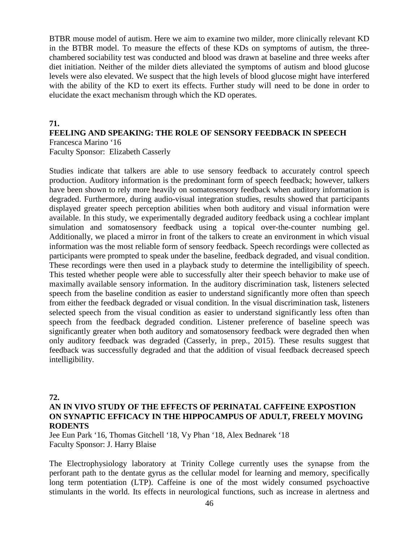BTBR mouse model of autism. Here we aim to examine two milder, more clinically relevant KD in the BTBR model. To measure the effects of these KDs on symptoms of autism, the threechambered sociability test was conducted and blood was drawn at baseline and three weeks after diet initiation. Neither of the milder diets alleviated the symptoms of autism and blood glucose levels were also elevated. We suspect that the high levels of blood glucose might have interfered with the ability of the KD to exert its effects. Further study will need to be done in order to elucidate the exact mechanism through which the KD operates.

#### **71.**

# **FEELING AND SPEAKING: THE ROLE OF SENSORY FEEDBACK IN SPEECH** Francesca Marino '16

Faculty Sponsor: Elizabeth Casserly

Studies indicate that talkers are able to use sensory feedback to accurately control speech production. Auditory information is the predominant form of speech feedback; however, talkers have been shown to rely more heavily on somatosensory feedback when auditory information is degraded. Furthermore, during audio-visual integration studies, results showed that participants displayed greater speech perception abilities when both auditory and visual information were available. In this study, we experimentally degraded auditory feedback using a cochlear implant simulation and somatosensory feedback using a topical over-the-counter numbing gel. Additionally, we placed a mirror in front of the talkers to create an environment in which visual information was the most reliable form of sensory feedback. Speech recordings were collected as participants were prompted to speak under the baseline, feedback degraded, and visual condition. These recordings were then used in a playback study to determine the intelligibility of speech. This tested whether people were able to successfully alter their speech behavior to make use of maximally available sensory information. In the auditory discrimination task, listeners selected speech from the baseline condition as easier to understand significantly more often than speech from either the feedback degraded or visual condition. In the visual discrimination task, listeners selected speech from the visual condition as easier to understand significantly less often than speech from the feedback degraded condition. Listener preference of baseline speech was significantly greater when both auditory and somatosensory feedback were degraded then when only auditory feedback was degraded (Casserly, in prep., 2015). These results suggest that feedback was successfully degraded and that the addition of visual feedback decreased speech intelligibility.

### **72.**

# **AN IN VIVO STUDY OF THE EFFECTS OF PERINATAL CAFFEINE EXPOSTION ON SYNAPTIC EFFICACY IN THE HIPPOCAMPUS OF ADULT, FREELY MOVING RODENTS**

Jee Eun Park '16, Thomas Gitchell '18, Vy Phan '18, Alex Bednarek '18 Faculty Sponsor: J. Harry Blaise

The Electrophysiology laboratory at Trinity College currently uses the synapse from the perforant path to the dentate gyrus as the cellular model for learning and memory, specifically long term potentiation (LTP). Caffeine is one of the most widely consumed psychoactive stimulants in the world. Its effects in neurological functions, such as increase in alertness and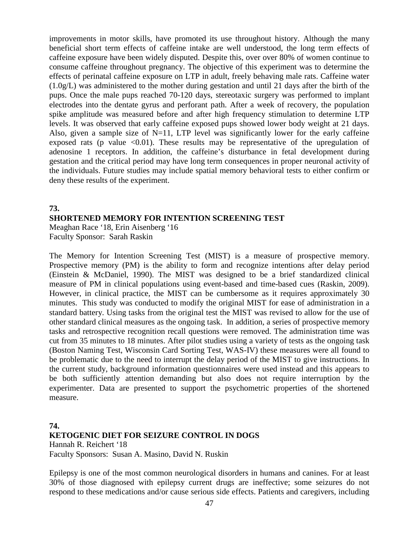improvements in motor skills, have promoted its use throughout history. Although the many beneficial short term effects of caffeine intake are well understood, the long term effects of caffeine exposure have been widely disputed. Despite this, over over 80% of women continue to consume caffeine throughout pregnancy. The objective of this experiment was to determine the effects of perinatal caffeine exposure on LTP in adult, freely behaving male rats. Caffeine water (1.0g/L) was administered to the mother during gestation and until 21 days after the birth of the pups. Once the male pups reached 70-120 days, stereotaxic surgery was performed to implant electrodes into the dentate gyrus and perforant path. After a week of recovery, the population spike amplitude was measured before and after high frequency stimulation to determine LTP levels. It was observed that early caffeine exposed pups showed lower body weight at 21 days. Also, given a sample size of  $N=11$ , LTP level was significantly lower for the early caffeine exposed rats (p value  $\leq 0.01$ ). These results may be representative of the upregulation of adenosine 1 receptors. In addition, the caffeine's disturbance in fetal development during gestation and the critical period may have long term consequences in proper neuronal activity of the individuals. Future studies may include spatial memory behavioral tests to either confirm or deny these results of the experiment.

# **73. SHORTENED MEMORY FOR INTENTION SCREENING TEST** Meaghan Race '18, Erin Aisenberg '16 Faculty Sponsor: Sarah Raskin

The Memory for Intention Screening Test (MIST) is a measure of prospective memory. Prospective memory (PM) is the ability to form and recognize intentions after delay period (Einstein & McDaniel, 1990). The MIST was designed to be a brief standardized clinical measure of PM in clinical populations using event-based and time-based cues (Raskin, 2009). However, in clinical practice, the MIST can be cumbersome as it requires approximately 30 minutes. This study was conducted to modify the original MIST for ease of administration in a standard battery. Using tasks from the original test the MIST was revised to allow for the use of other standard clinical measures as the ongoing task. In addition, a series of prospective memory tasks and retrospective recognition recall questions were removed. The administration time was cut from 35 minutes to 18 minutes. After pilot studies using a variety of tests as the ongoing task (Boston Naming Test, Wisconsin Card Sorting Test, WAS-IV) these measures were all found to be problematic due to the need to interrupt the delay period of the MIST to give instructions. In the current study, background information questionnaires were used instead and this appears to be both sufficiently attention demanding but also does not require interruption by the experimenter. Data are presented to support the psychometric properties of the shortened measure.

# **74. KETOGENIC DIET FOR SEIZURE CONTROL IN DOGS**

Hannah R. Reichert '18 Faculty Sponsors: Susan A. Masino, David N. Ruskin

Epilepsy is one of the most common neurological disorders in humans and canines. For at least 30% of those diagnosed with epilepsy current drugs are ineffective; some seizures do not respond to these medications and/or cause serious side effects. Patients and caregivers, including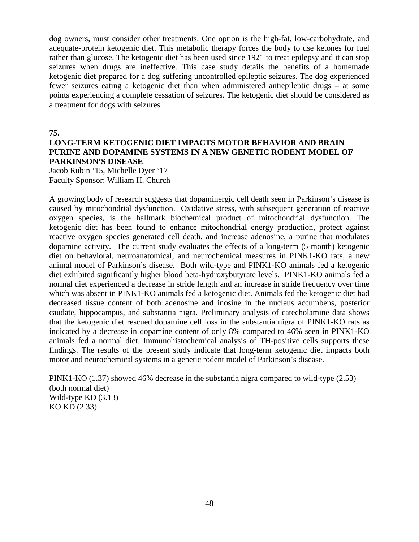dog owners, must consider other treatments. One option is the high-fat, low-carbohydrate, and adequate-protein ketogenic diet. This metabolic therapy forces the body to use ketones for fuel rather than glucose. The ketogenic diet has been used since 1921 to treat epilepsy and it can stop seizures when drugs are ineffective. This case study details the benefits of a homemade ketogenic diet prepared for a dog suffering uncontrolled epileptic seizures. The dog experienced fewer seizures eating a ketogenic diet than when administered antiepileptic drugs – at some points experiencing a complete cessation of seizures. The ketogenic diet should be considered as a treatment for dogs with seizures.

**75.**

# **LONG-TERM KETOGENIC DIET IMPACTS MOTOR BEHAVIOR AND BRAIN PURINE AND DOPAMINE SYSTEMS IN A NEW GENETIC RODENT MODEL OF PARKINSON'S DISEASE**

Jacob Rubin '15, Michelle Dyer '17 Faculty Sponsor: William H. Church

A growing body of research suggests that dopaminergic cell death seen in Parkinson's disease is caused by mitochondrial dysfunction. Oxidative stress, with subsequent generation of reactive oxygen species, is the hallmark biochemical product of mitochondrial dysfunction. The ketogenic diet has been found to enhance mitochondrial energy production, protect against reactive oxygen species generated cell death, and increase adenosine, a purine that modulates dopamine activity. The current study evaluates the effects of a long-term (5 month) ketogenic diet on behavioral, neuroanatomical, and neurochemical measures in PINK1-KO rats, a new animal model of Parkinson's disease. Both wild-type and PINK1-KO animals fed a ketogenic diet exhibited significantly higher blood beta-hydroxybutyrate levels. PINK1-KO animals fed a normal diet experienced a decrease in stride length and an increase in stride frequency over time which was absent in PINK1-KO animals fed a ketogenic diet. Animals fed the ketogenic diet had decreased tissue content of both adenosine and inosine in the nucleus accumbens, posterior caudate, hippocampus, and substantia nigra. Preliminary analysis of catecholamine data shows that the ketogenic diet rescued dopamine cell loss in the substantia nigra of PINK1-KO rats as indicated by a decrease in dopamine content of only 8% compared to 46% seen in PINK1-KO animals fed a normal diet. Immunohistochemical analysis of TH-positive cells supports these findings. The results of the present study indicate that long-term ketogenic diet impacts both motor and neurochemical systems in a genetic rodent model of Parkinson's disease.

PINK1-KO (1.37) showed 46% decrease in the substantia nigra compared to wild-type (2.53) (both normal diet) Wild-type KD (3.13) KO KD (2.33)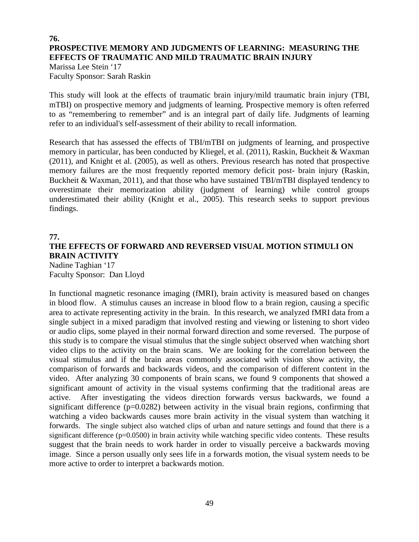# **76. PROSPECTIVE MEMORY AND JUDGMENTS OF LEARNING: MEASURING THE EFFECTS OF TRAUMATIC AND MILD TRAUMATIC BRAIN INJURY**

Marissa Lee Stein '17 Faculty Sponsor: Sarah Raskin

This study will look at the effects of traumatic brain injury/mild traumatic brain injury (TBI, mTBI) on prospective memory and judgments of learning. Prospective memory is often referred to as "remembering to remember" and is an integral part of daily life. Judgments of learning refer to an individual's self-assessment of their ability to recall information.

Research that has assessed the effects of TBI/mTBI on judgments of learning, and prospective memory in particular, has been conducted by Kliegel, et al. (2011), Raskin, Buckheit & Waxman (2011), and Knight et al. (2005), as well as others. Previous research has noted that prospective memory failures are the most frequently reported memory deficit post- brain injury (Raskin, Buckheit & Waxman, 2011), and that those who have sustained TBI/mTBI displayed tendency to overestimate their memorization ability (judgment of learning) while control groups underestimated their ability (Knight et al., 2005). This research seeks to support previous findings.

# **77. THE EFFECTS OF FORWARD AND REVERSED VISUAL MOTION STIMULI ON BRAIN ACTIVITY**

Nadine Taghian '17 Faculty Sponsor: Dan Lloyd

In functional magnetic resonance imaging (fMRI), brain activity is measured based on changes in blood flow. A stimulus causes an increase in blood flow to a brain region, causing a specific area to activate representing activity in the brain. In this research, we analyzed fMRI data from a single subject in a mixed paradigm that involved resting and viewing or listening to short video or audio clips, some played in their normal forward direction and some reversed. The purpose of this study is to compare the visual stimulus that the single subject observed when watching short video clips to the activity on the brain scans. We are looking for the correlation between the visual stimulus and if the brain areas commonly associated with vision show activity, the comparison of forwards and backwards videos, and the comparison of different content in the video. After analyzing 30 components of brain scans, we found 9 components that showed a significant amount of activity in the visual systems confirming that the traditional areas are active. After investigating the videos direction forwards versus backwards, we found a significant difference  $(p=0.0282)$  between activity in the visual brain regions, confirming that watching a video backwards causes more brain activity in the visual system than watching it forwards. The single subject also watched clips of urban and nature settings and found that there is a significant difference (p=0.0500) in brain activity while watching specific video contents. These results suggest that the brain needs to work harder in order to visually perceive a backwards moving image. Since a person usually only sees life in a forwards motion, the visual system needs to be more active to order to interpret a backwards motion.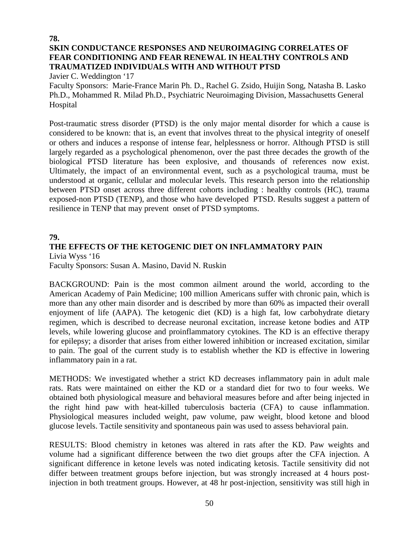# **78. SKIN CONDUCTANCE RESPONSES AND NEUROIMAGING CORRELATES OF FEAR CONDITIONING AND FEAR RENEWAL IN HEALTHY CONTROLS AND TRAUMATIZED INDIVIDUALS WITH AND WITHOUT PTSD**

Javier C. Weddington '17

Faculty Sponsors: Marie-France Marin Ph. D., Rachel G. Zsido, Huijin Song, Natasha B. Lasko Ph.D., Mohammed R. Milad Ph.D., Psychiatric Neuroimaging Division, Massachusetts General Hospital

Post-traumatic stress disorder (PTSD) is the only major mental disorder for which a cause is considered to be known: that is, an event that involves threat to the physical integrity of oneself or others and induces a response of intense fear, helplessness or horror. Although PTSD is still largely regarded as a psychological phenomenon, over the past three decades the growth of the biological PTSD literature has been explosive, and thousands of references now exist. Ultimately, the impact of an environmental event, such as a psychological trauma, must be understood at organic, cellular and molecular levels. This research person into the relationship between PTSD onset across three different cohorts including : healthy controls (HC), trauma exposed-non PTSD (TENP), and those who have developed PTSD. Results suggest a pattern of resilience in TENP that may prevent onset of PTSD symptoms.

# **79.**

### **THE EFFECTS OF THE KETOGENIC DIET ON INFLAMMATORY PAIN** Livia Wyss '16

Faculty Sponsors: Susan A. Masino, David N. Ruskin

BACKGROUND: Pain is the most common ailment around the world, according to the American Academy of Pain Medicine; 100 million Americans suffer with chronic pain, which is more than any other main disorder and is described by more than 60% as impacted their overall enjoyment of life (AAPA). The ketogenic diet (KD) is a high fat, low carbohydrate dietary regimen, which is described to decrease neuronal excitation, increase ketone bodies and ATP levels, while lowering glucose and proinflammatory cytokines. The KD is an effective therapy for epilepsy; a disorder that arises from either lowered inhibition or increased excitation, similar to pain. The goal of the current study is to establish whether the KD is effective in lowering inflammatory pain in a rat.

METHODS: We investigated whether a strict KD decreases inflammatory pain in adult male rats. Rats were maintained on either the KD or a standard diet for two to four weeks. We obtained both physiological measure and behavioral measures before and after being injected in the right hind paw with heat-killed tuberculosis bacteria (CFA) to cause inflammation. Physiological measures included weight, paw volume, paw weight, blood ketone and blood glucose levels. Tactile sensitivity and spontaneous pain was used to assess behavioral pain.

RESULTS: Blood chemistry in ketones was altered in rats after the KD. Paw weights and volume had a significant difference between the two diet groups after the CFA injection. A significant difference in ketone levels was noted indicating ketosis. Tactile sensitivity did not differ between treatment groups before injection, but was strongly increased at 4 hours postinjection in both treatment groups. However, at 48 hr post-injection, sensitivity was still high in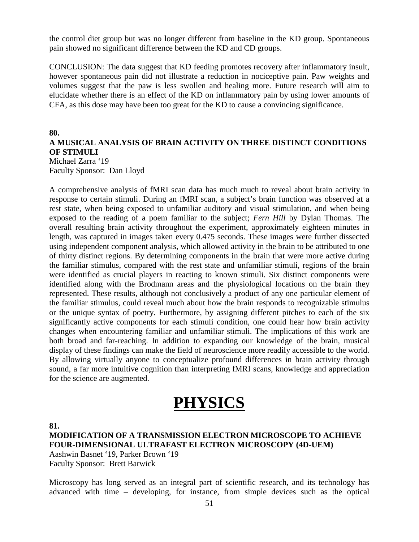the control diet group but was no longer different from baseline in the KD group. Spontaneous pain showed no significant difference between the KD and CD groups.

CONCLUSION: The data suggest that KD feeding promotes recovery after inflammatory insult, however spontaneous pain did not illustrate a reduction in nociceptive pain. Paw weights and volumes suggest that the paw is less swollen and healing more. Future research will aim to elucidate whether there is an effect of the KD on inflammatory pain by using lower amounts of CFA, as this dose may have been too great for the KD to cause a convincing significance.

#### **80.**

# **A MUSICAL ANALYSIS OF BRAIN ACTIVITY ON THREE DISTINCT CONDITIONS OF STIMULI**

Michael Zarra '19 Faculty Sponsor: Dan Lloyd

A comprehensive analysis of fMRI scan data has much much to reveal about brain activity in response to certain stimuli. During an fMRI scan, a subject's brain function was observed at a rest state, when being exposed to unfamiliar auditory and visual stimulation, and when being exposed to the reading of a poem familiar to the subject; *Fern Hill* by Dylan Thomas. The overall resulting brain activity throughout the experiment, approximately eighteen minutes in length, was captured in images taken every 0.475 seconds. These images were further dissected using independent component analysis, which allowed activity in the brain to be attributed to one of thirty distinct regions. By determining components in the brain that were more active during the familiar stimulus, compared with the rest state and unfamiliar stimuli, regions of the brain were identified as crucial players in reacting to known stimuli. Six distinct components were identified along with the Brodmann areas and the physiological locations on the brain they represented. These results, although not conclusively a product of any one particular element of the familiar stimulus, could reveal much about how the brain responds to recognizable stimulus or the unique syntax of poetry. Furthermore, by assigning different pitches to each of the six significantly active components for each stimuli condition, one could hear how brain activity changes when encountering familiar and unfamiliar stimuli. The implications of this work are both broad and far-reaching. In addition to expanding our knowledge of the brain, musical display of these findings can make the field of neuroscience more readily accessible to the world. By allowing virtually anyone to conceptualize profound differences in brain activity through sound, a far more intuitive cognition than interpreting fMRI scans, knowledge and appreciation for the science are augmented.

# **PHYSICS**

**81.**

**MODIFICATION OF A TRANSMISSION ELECTRON MICROSCOPE TO ACHIEVE FOUR-DIMENSIONAL ULTRAFAST ELECTRON MICROSCOPY (4D-UEM)**

Aashwin Basnet '19, Parker Brown '19 Faculty Sponsor: Brett Barwick

Microscopy has long served as an integral part of scientific research, and its technology has advanced with time – developing, for instance, from simple devices such as the optical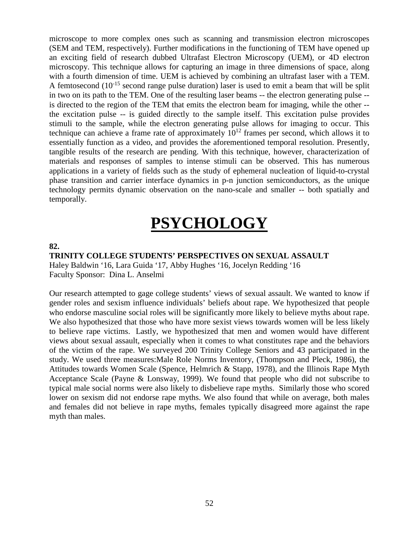microscope to more complex ones such as scanning and transmission electron microscopes (SEM and TEM, respectively). Further modifications in the functioning of TEM have opened up an exciting field of research dubbed Ultrafast Electron Microscopy (UEM), or 4D electron microscopy. This technique allows for capturing an image in three dimensions of space, along with a fourth dimension of time. UEM is achieved by combining an ultrafast laser with a TEM. A femtosecond  $(10^{-15}$  second range pulse duration) laser is used to emit a beam that will be split in two on its path to the TEM. One of the resulting laser beams -- the electron generating pulse - is directed to the region of the TEM that emits the electron beam for imaging, while the other - the excitation pulse -- is guided directly to the sample itself. This excitation pulse provides stimuli to the sample, while the electron generating pulse allows for imaging to occur. This technique can achieve a frame rate of approximately  $10^{12}$  frames per second, which allows it to essentially function as a video, and provides the aforementioned temporal resolution. Presently, tangible results of the research are pending. With this technique, however, characterization of materials and responses of samples to intense stimuli can be observed. This has numerous applications in a variety of fields such as the study of ephemeral nucleation of liquid-to-crystal phase transition and carrier interface dynamics in p-n junction semiconductors, as the unique technology permits dynamic observation on the nano-scale and smaller -- both spatially and temporally.

# **PSYCHOLOGY**

#### **82.**

**TRINITY COLLEGE STUDENTS' PERSPECTIVES ON SEXUAL ASSAULT**

Haley Baldwin '16, Lara Guida '17, Abby Hughes '16, Jocelyn Redding '16 Faculty Sponsor: Dina L. Anselmi

Our research attempted to gage college students' views of sexual assault. We wanted to know if gender roles and sexism influence individuals' beliefs about rape. We hypothesized that people who endorse masculine social roles will be significantly more likely to believe myths about rape. We also hypothesized that those who have more sexist views towards women will be less likely to believe rape victims. Lastly, we hypothesized that men and women would have different views about sexual assault, especially when it comes to what constitutes rape and the behaviors of the victim of the rape. We surveyed 200 Trinity College Seniors and 43 participated in the study. We used three measures:Male Role Norms Inventory, (Thompson and Pleck, 1986), the Attitudes towards Women Scale (Spence, Helmrich & Stapp, 1978), and the Illinois Rape Myth Acceptance Scale (Payne & Lonsway, 1999). We found that people who did not subscribe to typical male social norms were also likely to disbelieve rape myths. Similarly those who scored lower on sexism did not endorse rape myths. We also found that while on average, both males and females did not believe in rape myths, females typically disagreed more against the rape myth than males.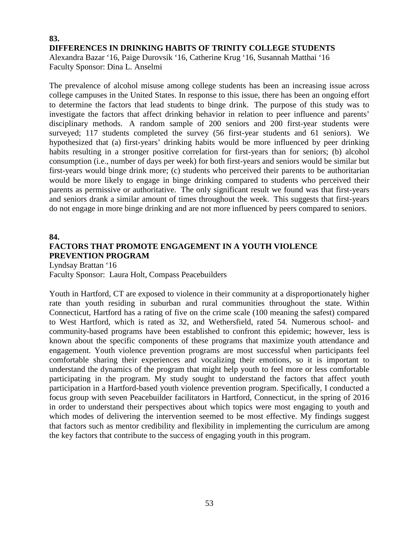# **83. DIFFERENCES IN DRINKING HABITS OF TRINITY COLLEGE STUDENTS** Alexandra Bazar '16, Paige Durovsik '16, Catherine Krug '16, Susannah Matthai '16 Faculty Sponsor: Dina L. Anselmi

The prevalence of alcohol misuse among college students has been an increasing issue across college campuses in the United States. In response to this issue, there has been an ongoing effort to determine the factors that lead students to binge drink. The purpose of this study was to investigate the factors that affect drinking behavior in relation to peer influence and parents' disciplinary methods. A random sample of 200 seniors and 200 first-year students were surveyed; 117 students completed the survey (56 first-year students and 61 seniors). We hypothesized that (a) first-years' drinking habits would be more influenced by peer drinking habits resulting in a stronger positive correlation for first-years than for seniors; (b) alcohol consumption (i.e., number of days per week) for both first-years and seniors would be similar but first-years would binge drink more; (c) students who perceived their parents to be authoritarian would be more likely to engage in binge drinking compared to students who perceived their parents as permissive or authoritative. The only significant result we found was that first-years and seniors drank a similar amount of times throughout the week. This suggests that first-years do not engage in more binge drinking and are not more influenced by peers compared to seniors.

#### **84.**

# **FACTORS THAT PROMOTE ENGAGEMENT IN A YOUTH VIOLENCE PREVENTION PROGRAM**

Lyndsay Brattan '16 Faculty Sponsor: Laura Holt, Compass Peacebuilders

Youth in Hartford, CT are exposed to violence in their community at a disproportionately higher rate than youth residing in suburban and rural communities throughout the state. Within Connecticut, Hartford has a rating of five on the crime scale (100 meaning the safest) compared to West Hartford, which is rated as 32, and Wethersfield, rated 54*.* Numerous school- and community-based programs have been established to confront this epidemic; however, less is known about the specific components of these programs that maximize youth attendance and engagement. Youth violence prevention programs are most successful when participants feel comfortable sharing their experiences and vocalizing their emotions, so it is important to understand the dynamics of the program that might help youth to feel more or less comfortable participating in the program. My study sought to understand the factors that affect youth participation in a Hartford-based youth violence prevention program. Specifically, I conducted a focus group with seven Peacebuilder facilitators in Hartford, Connecticut, in the spring of 2016 in order to understand their perspectives about which topics were most engaging to youth and which modes of delivering the intervention seemed to be most effective. My findings suggest that factors such as mentor credibility and flexibility in implementing the curriculum are among the key factors that contribute to the success of engaging youth in this program.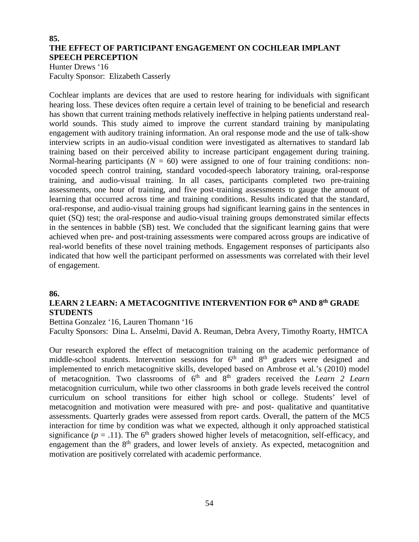# **85. THE EFFECT OF PARTICIPANT ENGAGEMENT ON COCHLEAR IMPLANT SPEECH PERCEPTION**

Hunter Drews '16 Faculty Sponsor: Elizabeth Casserly

Cochlear implants are devices that are used to restore hearing for individuals with significant hearing loss. These devices often require a certain level of training to be beneficial and research has shown that current training methods relatively ineffective in helping patients understand realworld sounds. This study aimed to improve the current standard training by manipulating engagement with auditory training information. An oral response mode and the use of talk-show interview scripts in an audio-visual condition were investigated as alternatives to standard lab training based on their perceived ability to increase participant engagement during training. Normal-hearing participants ( $N = 60$ ) were assigned to one of four training conditions: nonvocoded speech control training, standard vocoded-speech laboratory training, oral-response training, and audio-visual training. In all cases, participants completed two pre-training assessments, one hour of training, and five post-training assessments to gauge the amount of learning that occurred across time and training conditions. Results indicated that the standard, oral-response, and audio-visual training groups had significant learning gains in the sentences in quiet (SQ) test; the oral-response and audio-visual training groups demonstrated similar effects in the sentences in babble (SB) test. We concluded that the significant learning gains that were achieved when pre- and post-training assessments were compared across groups are indicative of real-world benefits of these novel training methods. Engagement responses of participants also indicated that how well the participant performed on assessments was correlated with their level of engagement.

# **86.**

# **LEARN 2 LEARN: A METACOGNITIVE INTERVENTION FOR 6th AND 8th GRADE STUDENTS**

Bettina Gonzalez '16, Lauren Thomann '16

Faculty Sponsors: Dina L. Anselmi, David A. Reuman, Debra Avery, Timothy Roarty, HMTCA

Our research explored the effect of metacognition training on the academic performance of middle-school students. Intervention sessions for  $6<sup>th</sup>$  and  $8<sup>th</sup>$  graders were designed and implemented to enrich metacognitive skills, developed based on Ambrose et al.'s (2010) model of metacognition. Two classrooms of 6th and 8th graders received the *Learn 2 Learn* metacognition curriculum, while two other classrooms in both grade levels received the control curriculum on school transitions for either high school or college. Students' level of metacognition and motivation were measured with pre- and post- qualitative and quantitative assessments. Quarterly grades were assessed from report cards. Overall, the pattern of the MC5 interaction for time by condition was what we expected, although it only approached statistical significance  $(p = .11)$ . The 6<sup>th</sup> graders showed higher levels of metacognition, self-efficacy, and engagement than the 8<sup>th</sup> graders, and lower levels of anxiety. As expected, metacognition and motivation are positively correlated with academic performance.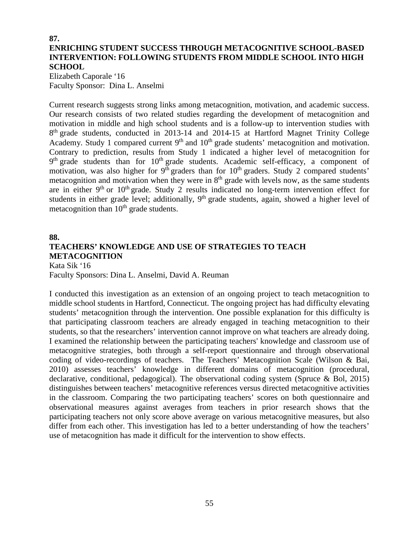# **87. ENRICHING STUDENT SUCCESS THROUGH METACOGNITIVE SCHOOL-BASED INTERVENTION: FOLLOWING STUDENTS FROM MIDDLE SCHOOL INTO HIGH SCHOOL**

Elizabeth Caporale '16 Faculty Sponsor: Dina L. Anselmi

Current research suggests strong links among metacognition, motivation, and academic success. Our research consists of two related studies regarding the development of metacognition and motivation in middle and high school students and is a follow-up to intervention studies with 8<sup>th</sup> grade students, conducted in 2013-14 and 2014-15 at Hartford Magnet Trinity College Academy. Study 1 compared current 9<sup>th</sup> and 10<sup>th</sup> grade students' metacognition and motivation. Contrary to prediction, results from Study 1 indicated a higher level of metacognition for 9<sup>th</sup> grade students than for 10<sup>th</sup> grade students. Academic self-efficacy, a component of motivation, was also higher for  $9<sup>th</sup>$  graders than for  $10<sup>th</sup>$  graders. Study 2 compared students' metacognition and motivation when they were in  $8<sup>th</sup>$  grade with levels now, as the same students are in either  $9<sup>th</sup>$  or  $10<sup>th</sup>$  grade. Study 2 results indicated no long-term intervention effect for students in either grade level; additionally, 9<sup>th</sup> grade students, again, showed a higher level of metacognition than  $10<sup>th</sup>$  grade students.

# **88. TEACHERS' KNOWLEDGE AND USE OF STRATEGIES TO TEACH METACOGNITION**

Kata Sik '16 Faculty Sponsors: Dina L. Anselmi, David A. Reuman

I conducted this investigation as an extension of an ongoing project to teach metacognition to middle school students in Hartford, Connecticut. The ongoing project has had difficulty elevating students' metacognition through the intervention. One possible explanation for this difficulty is that participating classroom teachers are already engaged in teaching metacognition to their students, so that the researchers' intervention cannot improve on what teachers are already doing. I examined the relationship between the participating teachers' knowledge and classroom use of metacognitive strategies, both through a self-report questionnaire and through observational coding of video-recordings of teachers. The Teachers' Metacognition Scale (Wilson & Bai, 2010) assesses teachers' knowledge in different domains of metacognition (procedural, declarative, conditional, pedagogical). The observational coding system (Spruce & Bol, 2015) distinguishes between teachers' metacognitive references versus directed metacognitive activities in the classroom. Comparing the two participating teachers' scores on both questionnaire and observational measures against averages from teachers in prior research shows that the participating teachers not only score above average on various metacognitive measures, but also differ from each other. This investigation has led to a better understanding of how the teachers' use of metacognition has made it difficult for the intervention to show effects.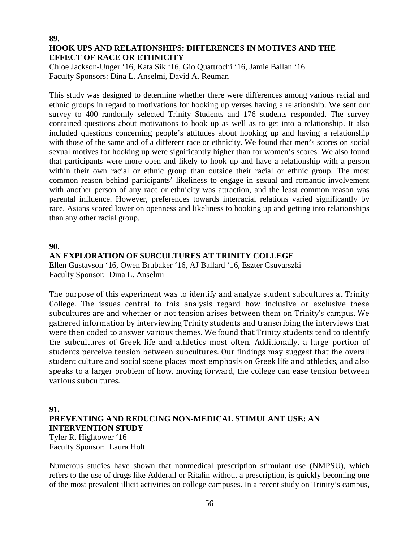# **89. HOOK UPS AND RELATIONSHIPS: DIFFERENCES IN MOTIVES AND THE EFFECT OF RACE OR ETHNICITY**

Chloe Jackson-Unger '16, Kata Sik '16, Gio Quattrochi '16, Jamie Ballan '16 Faculty Sponsors: Dina L. Anselmi, David A. Reuman

This study was designed to determine whether there were differences among various racial and ethnic groups in regard to motivations for hooking up verses having a relationship. We sent our survey to 400 randomly selected Trinity Students and 176 students responded. The survey contained questions about motivations to hook up as well as to get into a relationship. It also included questions concerning people's attitudes about hooking up and having a relationship with those of the same and of a different race or ethnicity. We found that men's scores on social sexual motives for hooking up were significantly higher than for women's scores. We also found that participants were more open and likely to hook up and have a relationship with a person within their own racial or ethnic group than outside their racial or ethnic group. The most common reason behind participants' likeliness to engage in sexual and romantic involvement with another person of any race or ethnicity was attraction, and the least common reason was parental influence. However, preferences towards interracial relations varied significantly by race. Asians scored lower on openness and likeliness to hooking up and getting into relationships than any other racial group.

#### **90.**

# **AN EXPLORATION OF SUBCULTURES AT TRINITY COLLEGE**

Ellen Gustavson '16, Owen Brubaker '16, AJ Ballard '16, Eszter Csuvarszki Faculty Sponsor: Dina L. Anselmi

The purpose of this experiment was to identify and analyze student subcultures at Trinity College. The issues central to this analysis regard how inclusive or exclusive these subcultures are and whether or not tension arises between them on Trinity's campus. We gathered information by interviewing Trinity students and transcribing the interviews that were then coded to answer various themes. We found that Trinity students tend to identify the subcultures of Greek life and athletics most often. Additionally, a large portion of students perceive tension between subcultures. Our findings may suggest that the overall student culture and social scene places most emphasis on Greek life and athletics, and also speaks to a larger problem of how, moving forward, the college can ease tension between various subcultures.

#### **91.**

# **PREVENTING AND REDUCING NON-MEDICAL STIMULANT USE: AN INTERVENTION STUDY** Tyler R. Hightower '16

Faculty Sponsor: Laura Holt

Numerous studies have shown that nonmedical prescription stimulant use (NMPSU), which refers to the use of drugs like Adderall or Ritalin without a prescription, is quickly becoming one of the most prevalent illicit activities on college campuses. In a recent study on Trinity's campus,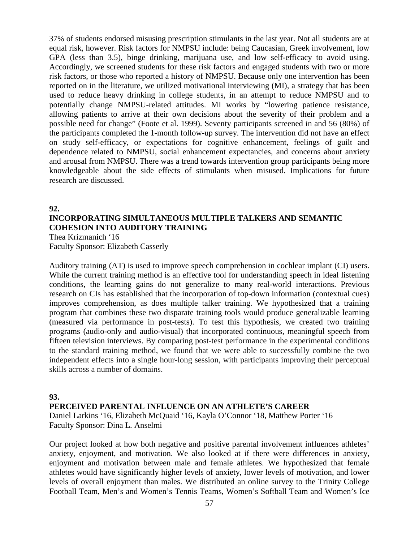37% of students endorsed misusing prescription stimulants in the last year. Not all students are at equal risk, however. Risk factors for NMPSU include: being Caucasian, Greek involvement, low GPA (less than 3.5), binge drinking, marijuana use, and low self-efficacy to avoid using. Accordingly, we screened students for these risk factors and engaged students with two or more risk factors, or those who reported a history of NMPSU. Because only one intervention has been reported on in the literature, we utilized motivational interviewing (MI), a strategy that has been used to reduce heavy drinking in college students, in an attempt to reduce NMPSU and to potentially change NMPSU-related attitudes. MI works by "lowering patience resistance, allowing patients to arrive at their own decisions about the severity of their problem and a possible need for change" (Foote et al. 1999). Seventy participants screened in and 56 (80%) of the participants completed the 1-month follow-up survey. The intervention did not have an effect on study self-efficacy, or expectations for cognitive enhancement, feelings of guilt and dependence related to NMPSU, social enhancement expectancies, and concerns about anxiety and arousal from NMPSU. There was a trend towards intervention group participants being more knowledgeable about the side effects of stimulants when misused. Implications for future research are discussed.

# **92. INCORPORATING SIMULTANEOUS MULTIPLE TALKERS AND SEMANTIC COHESION INTO AUDITORY TRAINING**

Thea Krizmanich '16 Faculty Sponsor: Elizabeth Casserly

Auditory training (AT) is used to improve speech comprehension in cochlear implant (CI) users. While the current training method is an effective tool for understanding speech in ideal listening conditions, the learning gains do not generalize to many real-world interactions. Previous research on CIs has established that the incorporation of top-down information (contextual cues) improves comprehension, as does multiple talker training. We hypothesized that a training program that combines these two disparate training tools would produce generalizable learning (measured via performance in post-tests). To test this hypothesis, we created two training programs (audio-only and audio-visual) that incorporated continuous, meaningful speech from fifteen television interviews. By comparing post-test performance in the experimental conditions to the standard training method, we found that we were able to successfully combine the two independent effects into a single hour-long session, with participants improving their perceptual skills across a number of domains.

# **93.**

**PERCEIVED PARENTAL INFLUENCE ON AN ATHLETE'S CAREER**

Daniel Larkins '16, Elizabeth McQuaid '16, Kayla O'Connor '18, Matthew Porter '16 Faculty Sponsor: Dina L. Anselmi

Our project looked at how both negative and positive parental involvement influences athletes' anxiety, enjoyment, and motivation. We also looked at if there were differences in anxiety, enjoyment and motivation between male and female athletes. We hypothesized that female athletes would have significantly higher levels of anxiety, lower levels of motivation, and lower levels of overall enjoyment than males. We distributed an online survey to the Trinity College Football Team, Men's and Women's Tennis Teams, Women's Softball Team and Women's Ice